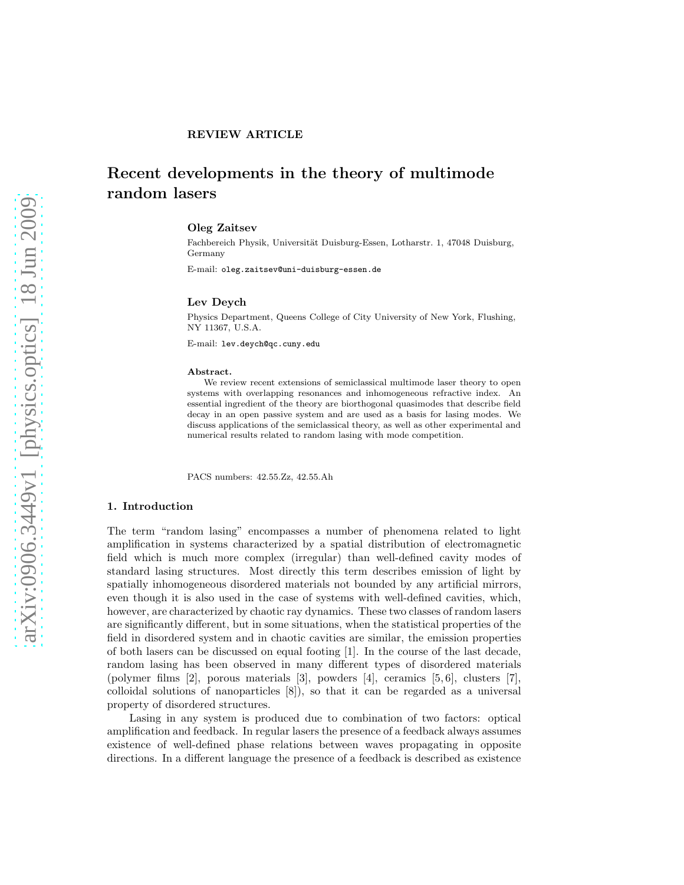# Recent developments in the theory of multimode random lasers

#### Oleg Zaitsev

Fachbereich Physik, Universität Duisburg-Essen, Lotharstr. 1, 47048 Duisburg, Germany

E-mail: oleg.zaitsev@uni-duisburg-essen.de

#### Lev Deych

Physics Department, Queens College of City University of New York, Flushing, NY 11367, U.S.A.

E-mail: lev.deych@qc.cuny.edu

#### Abstract.

We review recent extensions of semiclassical multimode laser theory to open systems with overlapping resonances and inhomogeneous refractive index. An essential ingredient of the theory are biorthogonal quasimodes that describe field decay in an open passive system and are used as a basis for lasing modes. We discuss applications of the semiclassical theory, as well as other experimental and numerical results related to random lasing with mode competition.

PACS numbers: 42.55.Zz, 42.55.Ah

#### 1. Introduction

The term "random lasing" encompasses a number of phenomena related to light amplification in systems characterized by a spatial distribution of electromagnetic field which is much more complex (irregular) than well-defined cavity modes of standard lasing structures. Most directly this term describes emission of light by spatially inhomogeneous disordered materials not bounded by any artificial mirrors, even though it is also used in the case of systems with well-defined cavities, which, however, are characterized by chaotic ray dynamics. These two classes of random lasers are significantly different, but in some situations, when the statistical properties of the field in disordered system and in chaotic cavities are similar, the emission properties of both lasers can be discussed on equal footing [1]. In the course of the last decade, random lasing has been observed in many different types of disordered materials (polymer films [2], porous materials [3], powders [4], ceramics [5, 6], clusters [7], colloidal solutions of nanoparticles [8]), so that it can be regarded as a universal property of disordered structures.

Lasing in any system is produced due to combination of two factors: optical amplification and feedback. In regular lasers the presence of a feedback always assumes existence of well-defined phase relations between waves propagating in opposite directions. In a different language the presence of a feedback is described as existence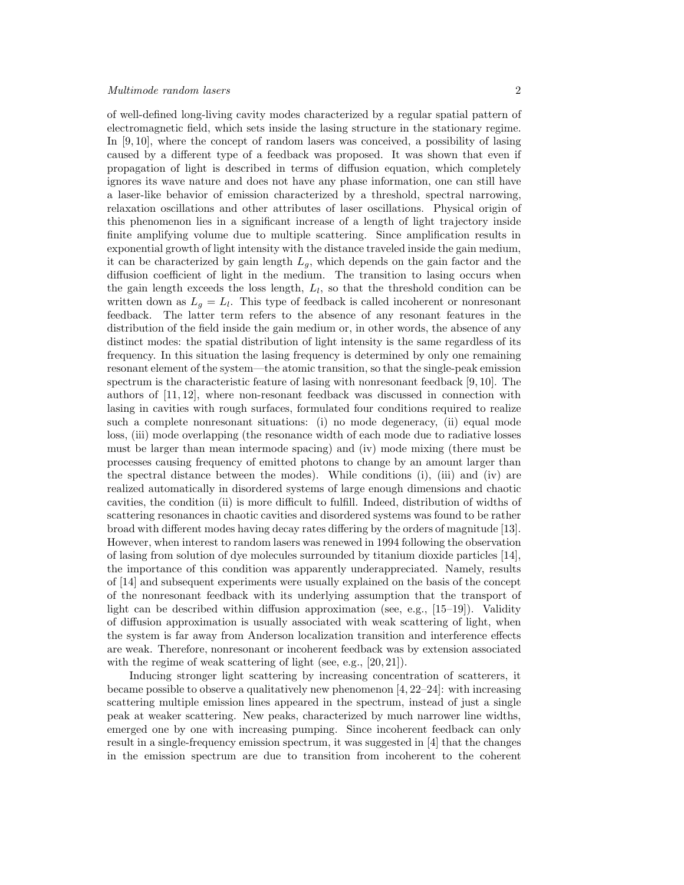of well-defined long-living cavity modes characterized by a regular spatial pattern of electromagnetic field, which sets inside the lasing structure in the stationary regime. In [9, 10], where the concept of random lasers was conceived, a possibility of lasing caused by a different type of a feedback was proposed. It was shown that even if propagation of light is described in terms of diffusion equation, which completely ignores its wave nature and does not have any phase information, one can still have a laser-like behavior of emission characterized by a threshold, spectral narrowing, relaxation oscillations and other attributes of laser oscillations. Physical origin of this phenomenon lies in a significant increase of a length of light trajectory inside finite amplifying volume due to multiple scattering. Since amplification results in exponential growth of light intensity with the distance traveled inside the gain medium, it can be characterized by gain length  $L_q$ , which depends on the gain factor and the diffusion coefficient of light in the medium. The transition to lasing occurs when the gain length exceeds the loss length,  $L_l$ , so that the threshold condition can be written down as  $L_g = L_l$ . This type of feedback is called incoherent or nonresonant feedback. The latter term refers to the absence of any resonant features in the distribution of the field inside the gain medium or, in other words, the absence of any distinct modes: the spatial distribution of light intensity is the same regardless of its frequency. In this situation the lasing frequency is determined by only one remaining resonant element of the system—the atomic transition, so that the single-peak emission spectrum is the characteristic feature of lasing with nonresonant feedback [9, 10]. The authors of [11, 12], where non-resonant feedback was discussed in connection with lasing in cavities with rough surfaces, formulated four conditions required to realize such a complete nonresonant situations: (i) no mode degeneracy, (ii) equal mode loss, (iii) mode overlapping (the resonance width of each mode due to radiative losses must be larger than mean intermode spacing) and (iv) mode mixing (there must be processes causing frequency of emitted photons to change by an amount larger than the spectral distance between the modes). While conditions (i), (iii) and (iv) are realized automatically in disordered systems of large enough dimensions and chaotic cavities, the condition (ii) is more difficult to fulfill. Indeed, distribution of widths of scattering resonances in chaotic cavities and disordered systems was found to be rather broad with different modes having decay rates differing by the orders of magnitude [13]. However, when interest to random lasers was renewed in 1994 following the observation of lasing from solution of dye molecules surrounded by titanium dioxide particles [14], the importance of this condition was apparently underappreciated. Namely, results of [14] and subsequent experiments were usually explained on the basis of the concept of the nonresonant feedback with its underlying assumption that the transport of light can be described within diffusion approximation (see, e.g.,  $[15-19]$ ). Validity of diffusion approximation is usually associated with weak scattering of light, when the system is far away from Anderson localization transition and interference effects are weak. Therefore, nonresonant or incoherent feedback was by extension associated with the regime of weak scattering of light (see, e.g., [20, 21]).

Inducing stronger light scattering by increasing concentration of scatterers, it became possible to observe a qualitatively new phenomenon [4, 22–24]: with increasing scattering multiple emission lines appeared in the spectrum, instead of just a single peak at weaker scattering. New peaks, characterized by much narrower line widths, emerged one by one with increasing pumping. Since incoherent feedback can only result in a single-frequency emission spectrum, it was suggested in [4] that the changes in the emission spectrum are due to transition from incoherent to the coherent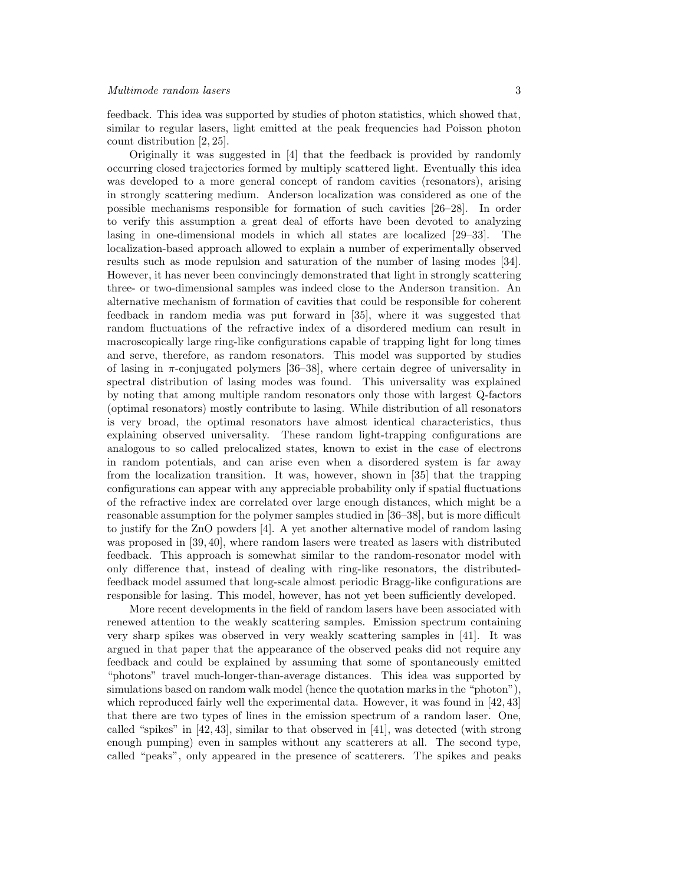feedback. This idea was supported by studies of photon statistics, which showed that, similar to regular lasers, light emitted at the peak frequencies had Poisson photon count distribution [2, 25].

Originally it was suggested in [4] that the feedback is provided by randomly occurring closed trajectories formed by multiply scattered light. Eventually this idea was developed to a more general concept of random cavities (resonators), arising in strongly scattering medium. Anderson localization was considered as one of the possible mechanisms responsible for formation of such cavities [26–28]. In order to verify this assumption a great deal of efforts have been devoted to analyzing lasing in one-dimensional models in which all states are localized [29–33]. The localization-based approach allowed to explain a number of experimentally observed results such as mode repulsion and saturation of the number of lasing modes [34]. However, it has never been convincingly demonstrated that light in strongly scattering three- or two-dimensional samples was indeed close to the Anderson transition. An alternative mechanism of formation of cavities that could be responsible for coherent feedback in random media was put forward in [35], where it was suggested that random fluctuations of the refractive index of a disordered medium can result in macroscopically large ring-like configurations capable of trapping light for long times and serve, therefore, as random resonators. This model was supported by studies of lasing in  $\pi$ -conjugated polymers [36–38], where certain degree of universality in spectral distribution of lasing modes was found. This universality was explained by noting that among multiple random resonators only those with largest Q-factors (optimal resonators) mostly contribute to lasing. While distribution of all resonators is very broad, the optimal resonators have almost identical characteristics, thus explaining observed universality. These random light-trapping configurations are analogous to so called prelocalized states, known to exist in the case of electrons in random potentials, and can arise even when a disordered system is far away from the localization transition. It was, however, shown in [35] that the trapping configurations can appear with any appreciable probability only if spatial fluctuations of the refractive index are correlated over large enough distances, which might be a reasonable assumption for the polymer samples studied in [36–38], but is more difficult to justify for the ZnO powders [4]. A yet another alternative model of random lasing was proposed in [39, 40], where random lasers were treated as lasers with distributed feedback. This approach is somewhat similar to the random-resonator model with only difference that, instead of dealing with ring-like resonators, the distributedfeedback model assumed that long-scale almost periodic Bragg-like configurations are responsible for lasing. This model, however, has not yet been sufficiently developed.

More recent developments in the field of random lasers have been associated with renewed attention to the weakly scattering samples. Emission spectrum containing very sharp spikes was observed in very weakly scattering samples in [41]. It was argued in that paper that the appearance of the observed peaks did not require any feedback and could be explained by assuming that some of spontaneously emitted "photons" travel much-longer-than-average distances. This idea was supported by simulations based on random walk model (hence the quotation marks in the "photon"), which reproduced fairly well the experimental data. However, it was found in [42,43] that there are two types of lines in the emission spectrum of a random laser. One, called "spikes" in  $[42, 43]$ , similar to that observed in  $[41]$ , was detected (with strong enough pumping) even in samples without any scatterers at all. The second type, called "peaks", only appeared in the presence of scatterers. The spikes and peaks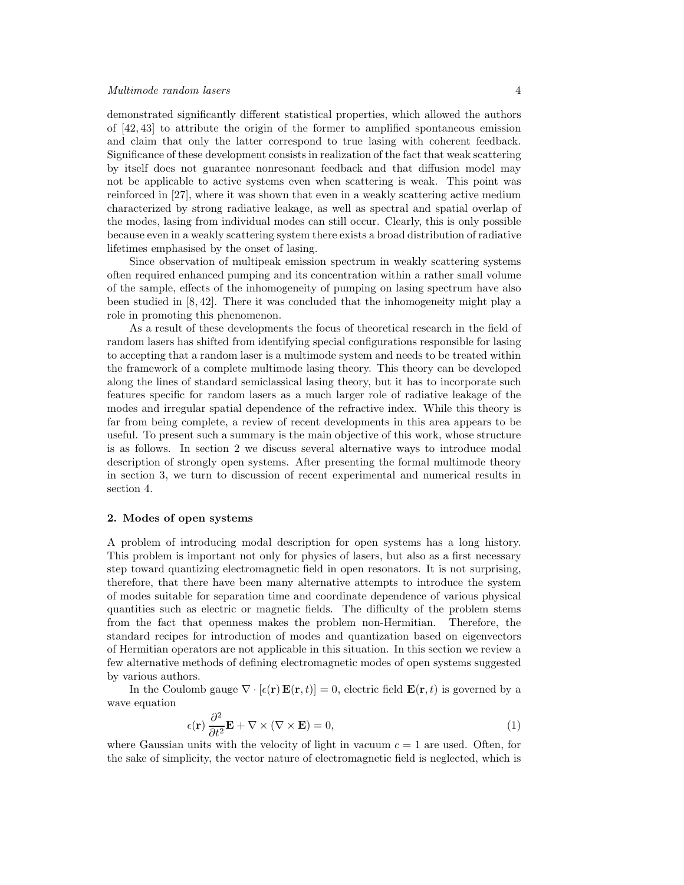demonstrated significantly different statistical properties, which allowed the authors of [42, 43] to attribute the origin of the former to amplified spontaneous emission and claim that only the latter correspond to true lasing with coherent feedback. Significance of these development consists in realization of the fact that weak scattering by itself does not guarantee nonresonant feedback and that diffusion model may not be applicable to active systems even when scattering is weak. This point was reinforced in [27], where it was shown that even in a weakly scattering active medium characterized by strong radiative leakage, as well as spectral and spatial overlap of the modes, lasing from individual modes can still occur. Clearly, this is only possible because even in a weakly scattering system there exists a broad distribution of radiative lifetimes emphasised by the onset of lasing.

Since observation of multipeak emission spectrum in weakly scattering systems often required enhanced pumping and its concentration within a rather small volume of the sample, effects of the inhomogeneity of pumping on lasing spectrum have also been studied in [8, 42]. There it was concluded that the inhomogeneity might play a role in promoting this phenomenon.

As a result of these developments the focus of theoretical research in the field of random lasers has shifted from identifying special configurations responsible for lasing to accepting that a random laser is a multimode system and needs to be treated within the framework of a complete multimode lasing theory. This theory can be developed along the lines of standard semiclassical lasing theory, but it has to incorporate such features specific for random lasers as a much larger role of radiative leakage of the modes and irregular spatial dependence of the refractive index. While this theory is far from being complete, a review of recent developments in this area appears to be useful. To present such a summary is the main objective of this work, whose structure is as follows. In section 2 we discuss several alternative ways to introduce modal description of strongly open systems. After presenting the formal multimode theory in section 3, we turn to discussion of recent experimental and numerical results in section 4.

#### 2. Modes of open systems

A problem of introducing modal description for open systems has a long history. This problem is important not only for physics of lasers, but also as a first necessary step toward quantizing electromagnetic field in open resonators. It is not surprising, therefore, that there have been many alternative attempts to introduce the system of modes suitable for separation time and coordinate dependence of various physical quantities such as electric or magnetic fields. The difficulty of the problem stems from the fact that openness makes the problem non-Hermitian. Therefore, the standard recipes for introduction of modes and quantization based on eigenvectors of Hermitian operators are not applicable in this situation. In this section we review a few alternative methods of defining electromagnetic modes of open systems suggested by various authors.

In the Coulomb gauge  $\nabla \cdot [\epsilon(\mathbf{r}) \mathbf{E}(\mathbf{r}, t)] = 0$ , electric field  $\mathbf{E}(\mathbf{r}, t)$  is governed by a wave equation

$$
\epsilon(\mathbf{r})\frac{\partial^2}{\partial t^2}\mathbf{E} + \nabla \times (\nabla \times \mathbf{E}) = 0,
$$
\n(1)

where Gaussian units with the velocity of light in vacuum  $c = 1$  are used. Often, for the sake of simplicity, the vector nature of electromagnetic field is neglected, which is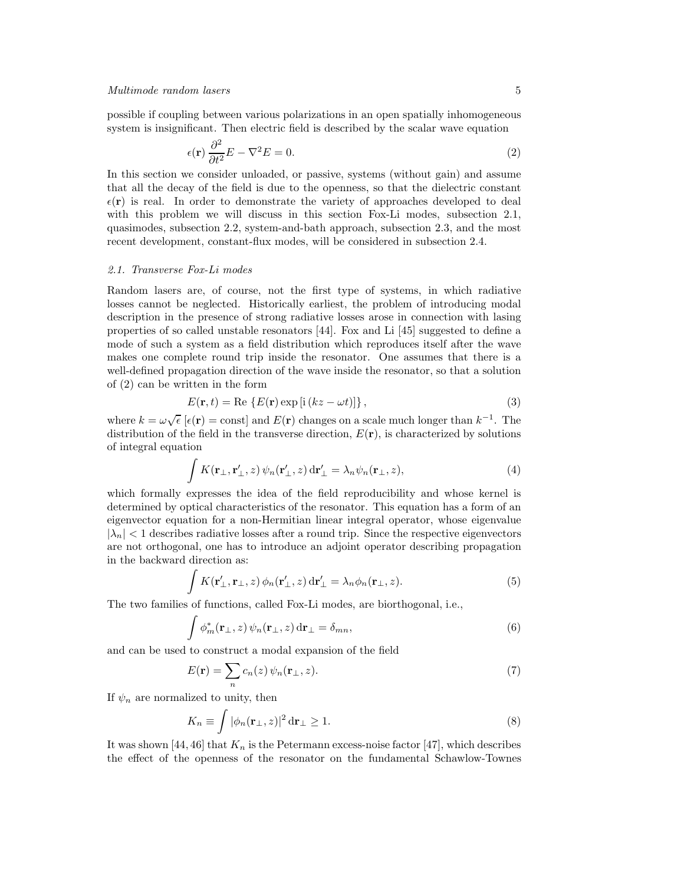possible if coupling between various polarizations in an open spatially inhomogeneous system is insignificant. Then electric field is described by the scalar wave equation

$$
\epsilon(\mathbf{r})\frac{\partial^2}{\partial t^2}E - \nabla^2 E = 0.
$$
 (2)

In this section we consider unloaded, or passive, systems (without gain) and assume that all the decay of the field is due to the openness, so that the dielectric constant  $\epsilon(\mathbf{r})$  is real. In order to demonstrate the variety of approaches developed to deal with this problem we will discuss in this section Fox-Li modes, subsection 2.1, quasimodes, subsection 2.2, system-and-bath approach, subsection 2.3, and the most recent development, constant-flux modes, will be considered in subsection 2.4.

## 2.1. Transverse Fox-Li modes

Random lasers are, of course, not the first type of systems, in which radiative losses cannot be neglected. Historically earliest, the problem of introducing modal description in the presence of strong radiative losses arose in connection with lasing properties of so called unstable resonators [44]. Fox and Li [45] suggested to define a mode of such a system as a field distribution which reproduces itself after the wave makes one complete round trip inside the resonator. One assumes that there is a well-defined propagation direction of the wave inside the resonator, so that a solution of (2) can be written in the form

$$
E(\mathbf{r},t) = \text{Re}\left\{E(\mathbf{r})\exp\left[i\left(kz - \omega t\right)\right]\right\},\tag{3}
$$

where  $k = \omega \sqrt{\epsilon} [\epsilon(\mathbf{r}) = \text{const}]$  and  $E(\mathbf{r})$  changes on a scale much longer than  $k^{-1}$ . The distribution of the field in the transverse direction,  $E(\mathbf{r})$ , is characterized by solutions of integral equation

$$
\int K(\mathbf{r}_{\perp}, \mathbf{r}'_{\perp}, z) \psi_n(\mathbf{r}'_{\perp}, z) d\mathbf{r}'_{\perp} = \lambda_n \psi_n(\mathbf{r}_{\perp}, z), \tag{4}
$$

which formally expresses the idea of the field reproducibility and whose kernel is determined by optical characteristics of the resonator. This equation has a form of an eigenvector equation for a non-Hermitian linear integral operator, whose eigenvalue  $|\lambda_n|$  < 1 describes radiative losses after a round trip. Since the respective eigenvectors are not orthogonal, one has to introduce an adjoint operator describing propagation in the backward direction as:

$$
\int K(\mathbf{r}'_{\perp}, \mathbf{r}_{\perp}, z) \phi_n(\mathbf{r}'_{\perp}, z) d\mathbf{r}'_{\perp} = \lambda_n \phi_n(\mathbf{r}_{\perp}, z).
$$
\n(5)

The two families of functions, called Fox-Li modes, are biorthogonal, i.e.,

$$
\int \phi_m^*(\mathbf{r}_\perp, z) \,\psi_n(\mathbf{r}_\perp, z) \,d\mathbf{r}_\perp = \delta_{mn},\tag{6}
$$

and can be used to construct a modal expansion of the field

$$
E(\mathbf{r}) = \sum_{n} c_n(z) \psi_n(\mathbf{r}_{\perp}, z). \tag{7}
$$

If  $\psi_n$  are normalized to unity, then

$$
K_n \equiv \int |\phi_n(\mathbf{r}_{\perp}, z)|^2 d\mathbf{r}_{\perp} \ge 1.
$$
 (8)

It was shown [44, 46] that  $K_n$  is the Petermann excess-noise factor [47], which describes the effect of the openness of the resonator on the fundamental Schawlow-Townes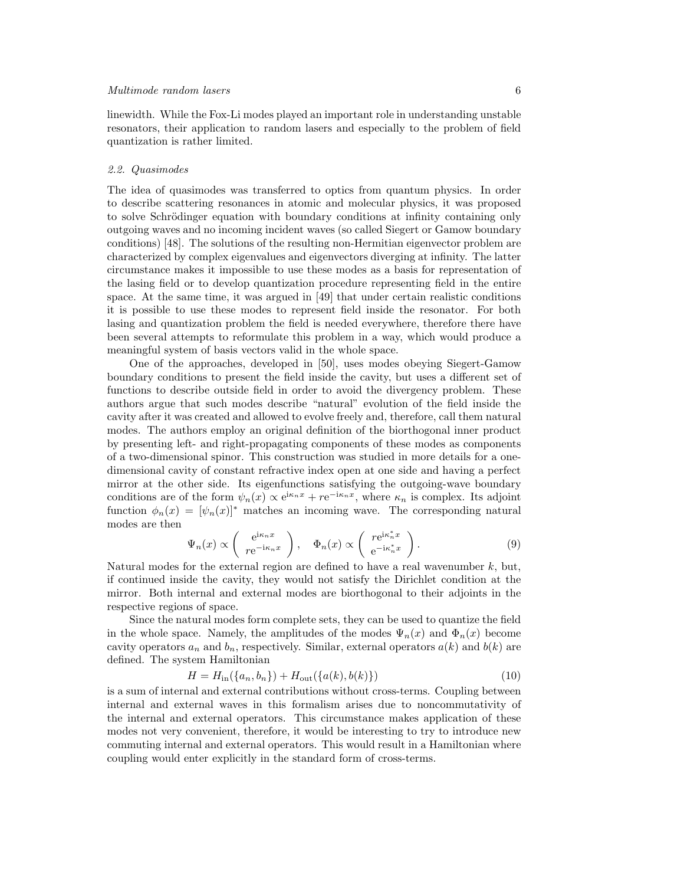linewidth. While the Fox-Li modes played an important role in understanding unstable resonators, their application to random lasers and especially to the problem of field quantization is rather limited.

#### 2.2. Quasimodes

The idea of quasimodes was transferred to optics from quantum physics. In order to describe scattering resonances in atomic and molecular physics, it was proposed to solve Schrödinger equation with boundary conditions at infinity containing only outgoing waves and no incoming incident waves (so called Siegert or Gamow boundary conditions) [48]. The solutions of the resulting non-Hermitian eigenvector problem are characterized by complex eigenvalues and eigenvectors diverging at infinity. The latter circumstance makes it impossible to use these modes as a basis for representation of the lasing field or to develop quantization procedure representing field in the entire space. At the same time, it was argued in [49] that under certain realistic conditions it is possible to use these modes to represent field inside the resonator. For both lasing and quantization problem the field is needed everywhere, therefore there have been several attempts to reformulate this problem in a way, which would produce a meaningful system of basis vectors valid in the whole space.

One of the approaches, developed in [50], uses modes obeying Siegert-Gamow boundary conditions to present the field inside the cavity, but uses a different set of functions to describe outside field in order to avoid the divergency problem. These authors argue that such modes describe "natural" evolution of the field inside the cavity after it was created and allowed to evolve freely and, therefore, call them natural modes. The authors employ an original definition of the biorthogonal inner product by presenting left- and right-propagating components of these modes as components of a two-dimensional spinor. This construction was studied in more details for a onedimensional cavity of constant refractive index open at one side and having a perfect mirror at the other side. Its eigenfunctions satisfying the outgoing-wave boundary conditions are of the form  $\psi_n(x) \propto e^{i\kappa_n x} + r e^{-i\kappa_n x}$ , where  $\kappa_n$  is complex. Its adjoint function  $\phi_n(x) = [\psi_n(x)]^*$  matches an incoming wave. The corresponding natural modes are then

$$
\Psi_n(x) \propto \begin{pmatrix} e^{i\kappa_n x} \\ r e^{-i\kappa_n x} \end{pmatrix}, \quad \Phi_n(x) \propto \begin{pmatrix} r e^{i\kappa_n^* x} \\ e^{-i\kappa_n^* x} \end{pmatrix}.
$$
 (9)

Natural modes for the external region are defined to have a real wavenumber  $k$ , but, if continued inside the cavity, they would not satisfy the Dirichlet condition at the mirror. Both internal and external modes are biorthogonal to their adjoints in the respective regions of space.

Since the natural modes form complete sets, they can be used to quantize the field in the whole space. Namely, the amplitudes of the modes  $\Psi_n(x)$  and  $\Phi_n(x)$  become cavity operators  $a_n$  and  $b_n$ , respectively. Similar, external operators  $a(k)$  and  $b(k)$  are defined. The system Hamiltonian

$$
H = H_{\rm in}(\{a_n, b_n\}) + H_{\rm out}(\{a(k), b(k)\})
$$
\n(10)

is a sum of internal and external contributions without cross-terms. Coupling between internal and external waves in this formalism arises due to noncommutativity of the internal and external operators. This circumstance makes application of these modes not very convenient, therefore, it would be interesting to try to introduce new commuting internal and external operators. This would result in a Hamiltonian where coupling would enter explicitly in the standard form of cross-terms.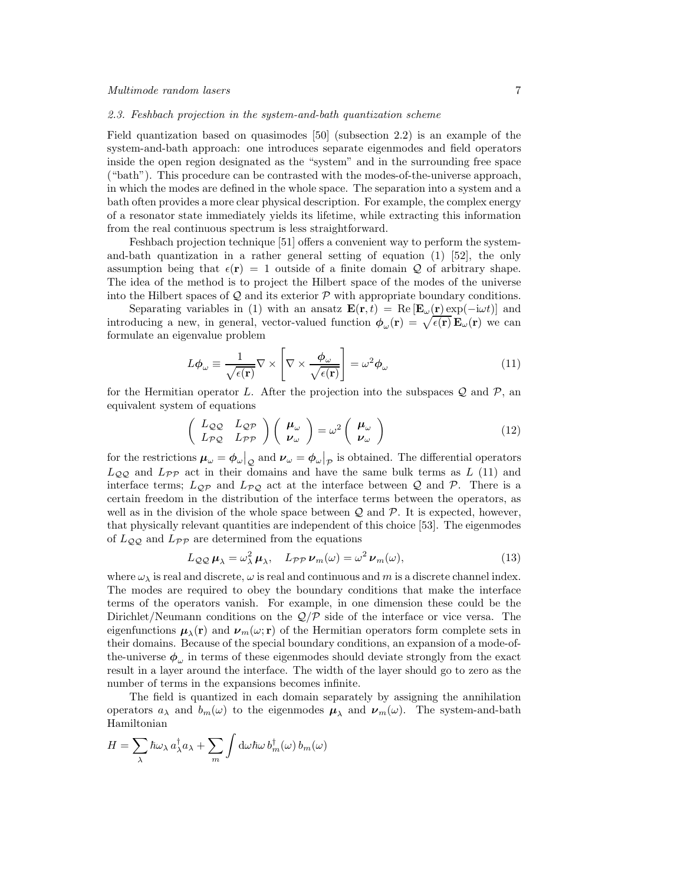#### 2.3. Feshbach projection in the system-and-bath quantization scheme

Field quantization based on quasimodes [50] (subsection 2.2) is an example of the system-and-bath approach: one introduces separate eigenmodes and field operators inside the open region designated as the "system" and in the surrounding free space ("bath"). This procedure can be contrasted with the modes-of-the-universe approach, in which the modes are defined in the whole space. The separation into a system and a bath often provides a more clear physical description. For example, the complex energy of a resonator state immediately yields its lifetime, while extracting this information from the real continuous spectrum is less straightforward.

Feshbach projection technique [51] offers a convenient way to perform the systemand-bath quantization in a rather general setting of equation  $(1)$  [52], the only assumption being that  $\epsilon(\mathbf{r}) = 1$  outside of a finite domain Q of arbitrary shape. The idea of the method is to project the Hilbert space of the modes of the universe into the Hilbert spaces of  $\mathcal Q$  and its exterior  $\mathcal P$  with appropriate boundary conditions.

Separating variables in (1) with an ansatz  $\mathbf{E}(\mathbf{r},t) = \text{Re}[\mathbf{E}_{\omega}(\mathbf{r}) \exp(-\mathrm{i}\omega t)]$  and introducing a new, in general, vector-valued function  $\phi_\omega(\mathbf{r}) = \sqrt{\epsilon(\mathbf{r})} \mathbf{E}_\omega(\mathbf{r})$  we can formulate an eigenvalue problem

$$
L\phi_{\omega} \equiv \frac{1}{\sqrt{\epsilon(\mathbf{r})}} \nabla \times \left[ \nabla \times \frac{\phi_{\omega}}{\sqrt{\epsilon(\mathbf{r})}} \right] = \omega^2 \phi_{\omega}
$$
 (11)

for the Hermitian operator L. After the projection into the subspaces  $\mathcal Q$  and  $\mathcal P$ , and equivalent system of equations

$$
\begin{pmatrix} L_{\mathcal{Q}\mathcal{Q}} & L_{\mathcal{Q}\mathcal{P}} \\ L_{\mathcal{P}\mathcal{Q}} & L_{\mathcal{P}\mathcal{P}} \end{pmatrix} \begin{pmatrix} \boldsymbol{\mu}_{\omega} \\ \boldsymbol{\nu}_{\omega} \end{pmatrix} = \omega^2 \begin{pmatrix} \boldsymbol{\mu}_{\omega} \\ \boldsymbol{\nu}_{\omega} \end{pmatrix}
$$
(12)

for the restrictions  $\mu_{\omega} = \phi_{\omega}|_{Q}$  and  $\nu_{\omega} = \phi_{\omega}|_{p}$  is obtained. The differential operators  $L_{QQ}$  and  $L_{PP}$  act in their domains and have the same bulk terms as L (11) and interface terms;  $L_{\mathcal{Q}P}$  and  $L_{\mathcal{P}Q}$  act at the interface between Q and P. There is a certain freedom in the distribution of the interface terms between the operators, as well as in the division of the whole space between  $\mathcal Q$  and  $\mathcal P$ . It is expected, however, that physically relevant quantities are independent of this choice [53]. The eigenmodes of  $L_{QQ}$  and  $L_{PP}$  are determined from the equations

$$
L_{\mathcal{QQ}}\mu_{\lambda} = \omega_{\lambda}^{2}\mu_{\lambda}, \quad L_{\mathcal{PP}}\nu_{m}(\omega) = \omega^{2}\nu_{m}(\omega), \tag{13}
$$

where  $\omega_{\lambda}$  is real and discrete,  $\omega$  is real and continuous and m is a discrete channel index. The modes are required to obey the boundary conditions that make the interface terms of the operators vanish. For example, in one dimension these could be the Dirichlet/Neumann conditions on the  $\mathcal{Q}/\mathcal{P}$  side of the interface or vice versa. The eigenfunctions  $\mu_{\lambda}(\mathbf{r})$  and  $\nu_m(\omega; \mathbf{r})$  of the Hermitian operators form complete sets in their domains. Because of the special boundary conditions, an expansion of a mode-ofthe-universe  $\phi_{\omega}$  in terms of these eigenmodes should deviate strongly from the exact result in a layer around the interface. The width of the layer should go to zero as the number of terms in the expansions becomes infinite.

The field is quantized in each domain separately by assigning the annihilation operators  $a_{\lambda}$  and  $b_m(\omega)$  to the eigenmodes  $\mu_{\lambda}$  and  $\nu_m(\omega)$ . The system-and-bath Hamiltonian

$$
H = \sum_{\lambda} \hbar \omega_{\lambda} a_{\lambda}^{\dagger} a_{\lambda} + \sum_{m} \int d\omega \hbar \omega b_{m}^{\dagger}(\omega) b_{m}(\omega)
$$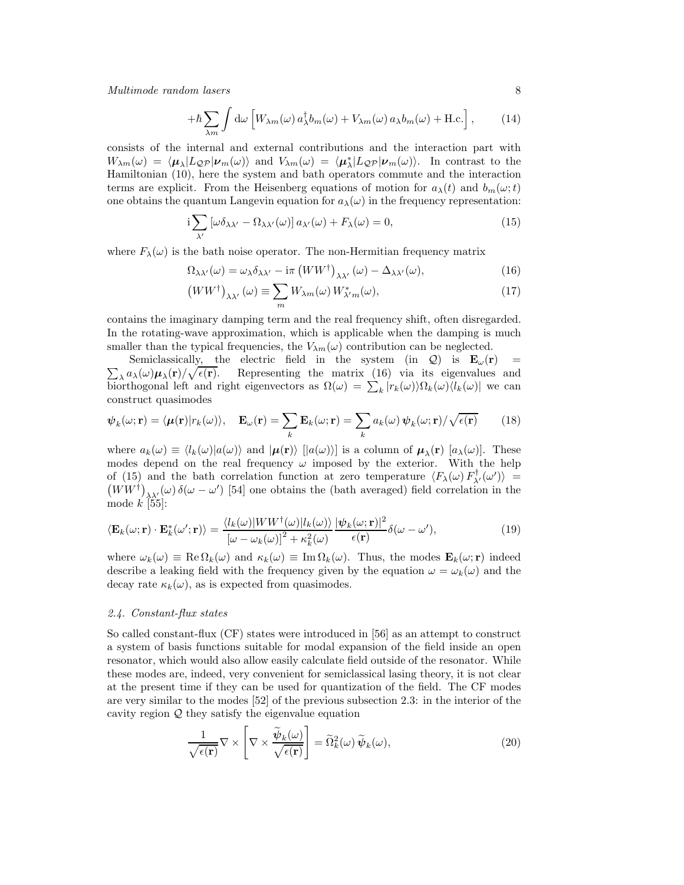$$
+\hbar \sum_{\lambda m} \int d\omega \left[ W_{\lambda m}(\omega) a_{\lambda}^{\dagger} b_m(\omega) + V_{\lambda m}(\omega) a_{\lambda} b_m(\omega) + \text{H.c.} \right], \quad (14)
$$

consists of the internal and external contributions and the interaction part with  $W_{\lambda m}(\omega) = \langle \mu_{\lambda} | L_{\mathcal{Q}P} | \nu_m(\omega) \rangle$  and  $V_{\lambda m}(\omega) = \langle \mu_{\lambda}^* | L_{\mathcal{Q}P} | \nu_m(\omega) \rangle$ . In contrast to the Hamiltonian (10), here the system and bath operators commute and the interaction terms are explicit. From the Heisenberg equations of motion for  $a_{\lambda}(t)$  and  $b_{m}(\omega;t)$ one obtains the quantum Langevin equation for  $a_{\lambda}(\omega)$  in the frequency representation:

$$
i\sum_{\lambda'}\left[\omega\delta_{\lambda\lambda'}-\Omega_{\lambda\lambda'}(\omega)\right]a_{\lambda'}(\omega)+F_{\lambda}(\omega)=0,
$$
\n(15)

where  $F_{\lambda}(\omega)$  is the bath noise operator. The non-Hermitian frequency matrix

$$
\Omega_{\lambda\lambda'}(\omega) = \omega_{\lambda}\delta_{\lambda\lambda'} - i\pi \left(WW^{\dagger}\right)_{\lambda\lambda'}(\omega) - \Delta_{\lambda\lambda'}(\omega),\tag{16}
$$

$$
(WW^{\dagger})_{\lambda\lambda'}(\omega) \equiv \sum_{m} W_{\lambda m}(\omega) W_{\lambda'm}^{*}(\omega), \qquad (17)
$$

contains the imaginary damping term and the real frequency shift, often disregarded. In the rotating-wave approximation, which is applicable when the damping is much smaller than the typical frequencies, the  $V_{\lambda m}(\omega)$  contribution can be neglected.

 $\sum_{\lambda} a_{\lambda}(\omega) \mu_{\lambda}(\mathbf{r}) / \sqrt{\epsilon(\mathbf{r})}$ . Representing the matrix (16) via its eigenvalues and Semiclassically, the electric field in the system (in  $Q$ ) is  $E_{\omega}(r)$  = biorthogonal left and right eigenvectors as  $\Omega(\omega) = \sum_{k} |r_k(\omega)\rangle \Omega_k(\omega) \langle l_k(\omega)|$  we can construct quasimodes

$$
\psi_k(\omega; \mathbf{r}) = \langle \mu(\mathbf{r}) | r_k(\omega) \rangle, \quad \mathbf{E}_{\omega}(\mathbf{r}) = \sum_k \mathbf{E}_k(\omega; \mathbf{r}) = \sum_k a_k(\omega) \psi_k(\omega; \mathbf{r}) / \sqrt{\epsilon(\mathbf{r})} \tag{18}
$$

where  $a_k(\omega) \equiv \langle l_k(\omega) | a(\omega) \rangle$  and  $|\mu(\mathbf{r}) \rangle$  [[ $a(\omega)$ ] is a column of  $\mu_\lambda(\mathbf{r})$  [ $a_\lambda(\omega)$ ]. These modes depend on the real frequency  $\omega$  imposed by the exterior. With the help of (15) and the bath correlation function at zero temperature  $\langle F_{\lambda}(\omega) F_{\lambda'}^{\dagger}(\omega') \rangle$  =  $(WW^{\dagger})_{\lambda\lambda'}(\omega)\delta(\omega-\omega')$  [54] one obtains the (bath averaged) field correlation in the mode  $k$  [55]:

$$
\langle \mathbf{E}_k(\omega; \mathbf{r}) \cdot \mathbf{E}_k^*(\omega'; \mathbf{r}) \rangle = \frac{\langle l_k(\omega) | WW^\dagger(\omega) | l_k(\omega) \rangle}{[\omega - \omega_k(\omega)]^2 + \kappa_k^2(\omega)} \frac{|\psi_k(\omega; \mathbf{r})|^2}{\epsilon(\mathbf{r})} \delta(\omega - \omega'), \tag{19}
$$

where  $\omega_k(\omega) \equiv \text{Re}\,\Omega_k(\omega)$  and  $\kappa_k(\omega) \equiv \text{Im}\,\Omega_k(\omega)$ . Thus, the modes  $\mathbf{E}_k(\omega;\mathbf{r})$  indeed describe a leaking field with the frequency given by the equation  $\omega = \omega_k(\omega)$  and the decay rate  $\kappa_k(\omega)$ , as is expected from quasimodes.

## 2.4. Constant-flux states

So called constant-flux (CF) states were introduced in [56] as an attempt to construct a system of basis functions suitable for modal expansion of the field inside an open resonator, which would also allow easily calculate field outside of the resonator. While these modes are, indeed, very convenient for semiclassical lasing theory, it is not clear at the present time if they can be used for quantization of the field. The CF modes are very similar to the modes [52] of the previous subsection 2.3: in the interior of the cavity region  $Q$  they satisfy the eigenvalue equation

$$
\frac{1}{\sqrt{\epsilon(\mathbf{r})}} \nabla \times \left[ \nabla \times \frac{\widetilde{\boldsymbol{\psi}}_k(\omega)}{\sqrt{\epsilon(\mathbf{r})}} \right] = \widetilde{\Omega}_k^2(\omega) \widetilde{\boldsymbol{\psi}}_k(\omega), \tag{20}
$$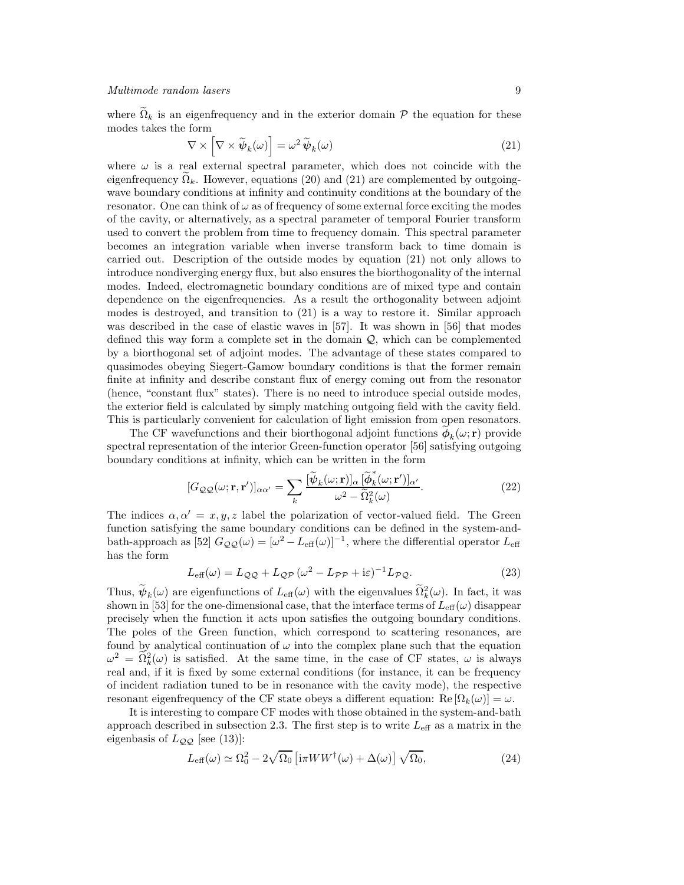where  $\tilde{\Omega}_k$  is an eigenfrequency and in the exterior domain  $P$  the equation for these modes takes the form

$$
\nabla \times \left[ \nabla \times \widetilde{\boldsymbol{\psi}}_k(\omega) \right] = \omega^2 \widetilde{\boldsymbol{\psi}}_k(\omega) \tag{21}
$$

where  $\omega$  is a real external spectral parameter, which does not coincide with the eigenfrequency  $\Omega_k$ . However, equations (20) and (21) are complemented by outgoingwave boundary conditions at infinity and continuity conditions at the boundary of the resonator. One can think of  $\omega$  as of frequency of some external force exciting the modes of the cavity, or alternatively, as a spectral parameter of temporal Fourier transform used to convert the problem from time to frequency domain. This spectral parameter becomes an integration variable when inverse transform back to time domain is carried out. Description of the outside modes by equation (21) not only allows to introduce nondiverging energy flux, but also ensures the biorthogonality of the internal modes. Indeed, electromagnetic boundary conditions are of mixed type and contain dependence on the eigenfrequencies. As a result the orthogonality between adjoint modes is destroyed, and transition to (21) is a way to restore it. Similar approach was described in the case of elastic waves in [57]. It was shown in [56] that modes defined this way form a complete set in the domain  $\mathcal{Q}$ , which can be complemented by a biorthogonal set of adjoint modes. The advantage of these states compared to quasimodes obeying Siegert-Gamow boundary conditions is that the former remain finite at infinity and describe constant flux of energy coming out from the resonator (hence, "constant flux" states). There is no need to introduce special outside modes, the exterior field is calculated by simply matching outgoing field with the cavity field. This is particularly convenient for calculation of light emission from open resonators.

The CF wavefunctions and their biorthogonal adjoint functions  $\phi_k(\omega; \mathbf{r})$  provide spectral representation of the interior Green-function operator [56] satisfying outgoing boundary conditions at infinity, which can be written in the form

$$
[G_{\mathcal{Q}\mathcal{Q}}(\omega; \mathbf{r}, \mathbf{r}')]_{\alpha\alpha'} = \sum_{k} \frac{[\widetilde{\psi}_{k}(\omega; \mathbf{r})]_{\alpha} [\widetilde{\phi}_{k}^{*}(\omega; \mathbf{r}')]_{\alpha'}}{\omega^{2} - \widetilde{\Omega}_{k}^{2}(\omega)}.
$$
(22)

The indices  $\alpha, \alpha' = x, y, z$  label the polarization of vector-valued field. The Green function satisfying the same boundary conditions can be defined in the system-andbath-approach as [52]  $G_{\mathcal{QQ}}(\omega) = [\omega^2 - L_{\text{eff}}(\omega)]^{-1}$ , where the differential operator  $L_{\text{eff}}$ has the form

$$
L_{\text{eff}}(\omega) = L_{\mathcal{QQ}} + L_{\mathcal{QP}} \left(\omega^2 - L_{\mathcal{PP}} + i\varepsilon\right)^{-1} L_{\mathcal{PQ}}.
$$
\n(23)

Thus,  $\psi_k(\omega)$  are eigenfunctions of  $L_{\text{eff}}(\omega)$  with the eigenvalues  $\Omega_k^2(\omega)$ . In fact, it was shown in [53] for the one-dimensional case, that the interface terms of  $L_{\text{eff}}(\omega)$  disappear precisely when the function it acts upon satisfies the outgoing boundary conditions. The poles of the Green function, which correspond to scattering resonances, are found by analytical continuation of  $\omega$  into the complex plane such that the equation  $\omega^2 = \tilde{\Omega}_k^2(\omega)$  is satisfied. At the same time, in the case of CF states,  $\omega$  is always real and, if it is fixed by some external conditions (for instance, it can be frequency of incident radiation tuned to be in resonance with the cavity mode), the respective resonant eigenfrequency of the CF state obeys a different equation:  $\text{Re}[\Omega_k(\omega)] = \omega$ .

It is interesting to compare CF modes with those obtained in the system-and-bath approach described in subsection 2.3. The first step is to write  $L_{\text{eff}}$  as a matrix in the eigenbasis of  $L_{QQ}$  [see (13)]:

$$
L_{\text{eff}}(\omega) \simeq \Omega_0^2 - 2\sqrt{\Omega_0} \left[ i\pi WW^\dagger(\omega) + \Delta(\omega) \right] \sqrt{\Omega_0},\tag{24}
$$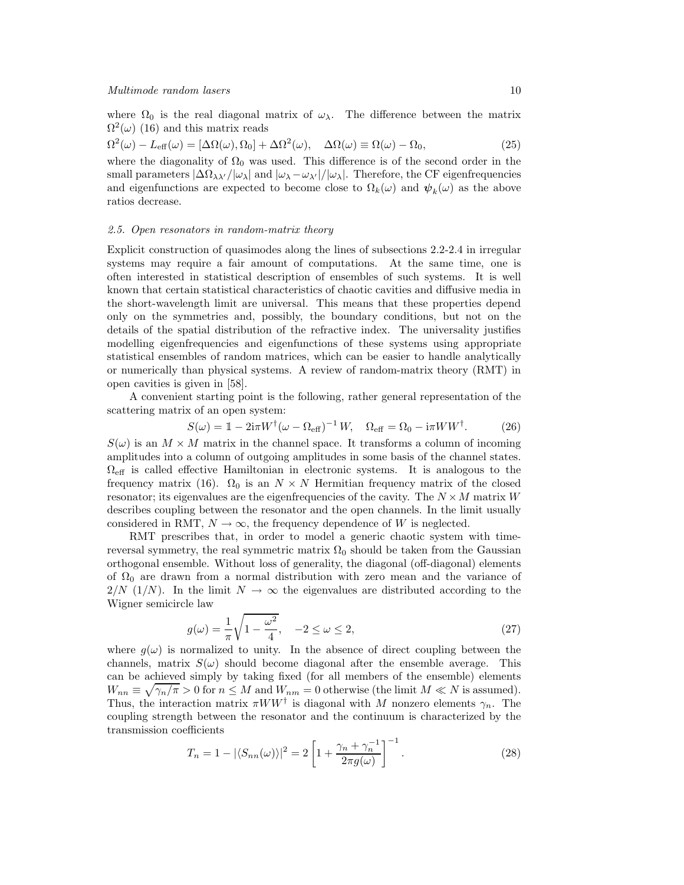where  $\Omega_0$  is the real diagonal matrix of  $\omega_\lambda$ . The difference between the matrix  $\Omega^2(\omega)$  (16) and this matrix reads

$$
\Omega^2(\omega) - L_{\text{eff}}(\omega) = [\Delta\Omega(\omega), \Omega_0] + \Delta\Omega^2(\omega), \quad \Delta\Omega(\omega) \equiv \Omega(\omega) - \Omega_0,
$$
\n(25)

where the diagonality of  $\Omega_0$  was used. This difference is of the second order in the small parameters  $|\Delta\Omega_{\lambda\lambda'}/\omega_{\lambda}|$  and  $|\omega_{\lambda}-\omega_{\lambda'}|/|\omega_{\lambda}|$ . Therefore, the CF eigenfrequencies and eigenfunctions are expected to become close to  $\Omega_k(\omega)$  and  $\psi_k(\omega)$  as the above ratios decrease.

#### 2.5. Open resonators in random-matrix theory

Explicit construction of quasimodes along the lines of subsections 2.2-2.4 in irregular systems may require a fair amount of computations. At the same time, one is often interested in statistical description of ensembles of such systems. It is well known that certain statistical characteristics of chaotic cavities and diffusive media in the short-wavelength limit are universal. This means that these properties depend only on the symmetries and, possibly, the boundary conditions, but not on the details of the spatial distribution of the refractive index. The universality justifies modelling eigenfrequencies and eigenfunctions of these systems using appropriate statistical ensembles of random matrices, which can be easier to handle analytically or numerically than physical systems. A review of random-matrix theory (RMT) in open cavities is given in [58].

A convenient starting point is the following, rather general representation of the scattering matrix of an open system:

$$
S(\omega) = 1 - 2i\pi W^{\dagger}(\omega - \Omega_{\text{eff}})^{-1} W, \quad \Omega_{\text{eff}} = \Omega_0 - i\pi W W^{\dagger}.
$$
 (26)

 $S(\omega)$  is an  $M \times M$  matrix in the channel space. It transforms a column of incoming amplitudes into a column of outgoing amplitudes in some basis of the channel states.  $\Omega_{\text{eff}}$  is called effective Hamiltonian in electronic systems. It is analogous to the frequency matrix (16).  $\Omega_0$  is an  $N \times N$  Hermitian frequency matrix of the closed resonator; its eigenvalues are the eigenfrequencies of the cavity. The  $N \times M$  matrix W describes coupling between the resonator and the open channels. In the limit usually considered in RMT,  $N \to \infty$ , the frequency dependence of W is neglected.

RMT prescribes that, in order to model a generic chaotic system with timereversal symmetry, the real symmetric matrix  $\Omega_0$  should be taken from the Gaussian orthogonal ensemble. Without loss of generality, the diagonal (off-diagonal) elements of  $\Omega_0$  are drawn from a normal distribution with zero mean and the variance of  $2/N$  (1/N). In the limit  $N \to \infty$  the eigenvalues are distributed according to the Wigner semicircle law

$$
g(\omega) = \frac{1}{\pi} \sqrt{1 - \frac{\omega^2}{4}}, \quad -2 \le \omega \le 2,
$$
\n
$$
(27)
$$

where  $g(\omega)$  is normalized to unity. In the absence of direct coupling between the channels, matrix  $S(\omega)$  should become diagonal after the ensemble average. This can be achieved simply by taking fixed (for all members of the ensemble) elements  $W_{nn} \equiv \sqrt{\gamma_n/\pi} > 0$  for  $n \leq M$  and  $W_{nm} = 0$  otherwise (the limit  $M \ll N$  is assumed). Thus, the interaction matrix  $\pi WW^{\dagger}$  is diagonal with M nonzero elements  $\gamma_n$ . The coupling strength between the resonator and the continuum is characterized by the transmission coefficients

$$
T_n = 1 - |\langle S_{nn}(\omega) \rangle|^2 = 2 \left[ 1 + \frac{\gamma_n + \gamma_n^{-1}}{2\pi g(\omega)} \right]^{-1}.
$$
 (28)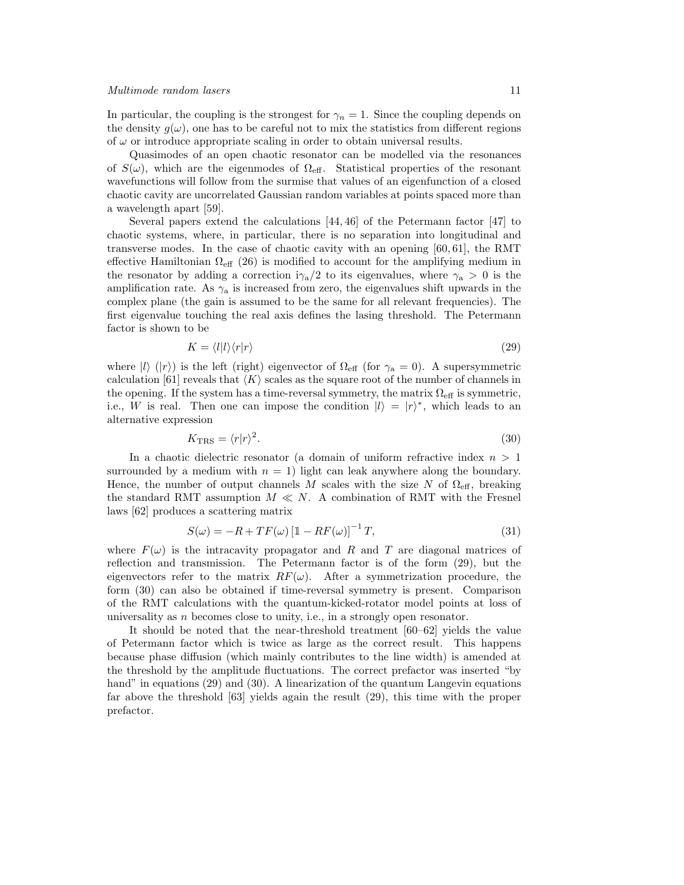In particular, the coupling is the strongest for  $\gamma_n = 1$ . Since the coupling depends on the density  $g(\omega)$ , one has to be careful not to mix the statistics from different regions of  $\omega$  or introduce appropriate scaling in order to obtain universal results.

Quasimodes of an open chaotic resonator can be modelled via the resonances of  $S(\omega)$ , which are the eigenmodes of  $\Omega_{\text{eff}}$ . Statistical properties of the resonant wavefunctions will follow from the surmise that values of an eigenfunction of a closed chaotic cavity are uncorrelated Gaussian random variables at points spaced more than a wavelength apart [59].

Several papers extend the calculations [44, 46] of the Petermann factor [47] to chaotic systems, where, in particular, there is no separation into longitudinal and transverse modes. In the case of chaotic cavity with an opening [60, 61], the RMT effective Hamiltonian  $\Omega_{\text{eff}}$  (26) is modified to account for the amplifying medium in the resonator by adding a correction  $i\gamma_a/2$  to its eigenvalues, where  $\gamma_a > 0$  is the amplification rate. As  $\gamma_a$  is increased from zero, the eigenvalues shift upwards in the complex plane (the gain is assumed to be the same for all relevant frequencies). The first eigenvalue touching the real axis defines the lasing threshold. The Petermann factor is shown to be

$$
K = \langle l|l\rangle\langle r|r\rangle \tag{29}
$$

where  $|l\rangle$  ( $|r\rangle$ ) is the left (right) eigenvector of  $\Omega_{\text{eff}}$  (for  $\gamma_a = 0$ ). A supersymmetric calculation [61] reveals that  $\langle K \rangle$  scales as the square root of the number of channels in the opening. If the system has a time-reversal symmetry, the matrix  $\Omega_{\text{eff}}$  is symmetric, i.e., W is real. Then one can impose the condition  $|l\rangle = |r\rangle^*$ , which leads to an alternative expression

$$
K_{\rm TRS} = \langle r|r\rangle^2. \tag{30}
$$

In a chaotic dielectric resonator (a domain of uniform refractive index  $n > 1$ surrounded by a medium with  $n = 1$ ) light can leak anywhere along the boundary. Hence, the number of output channels M scales with the size N of  $\Omega_{\text{eff}}$ , breaking the standard RMT assumption  $M \ll N$ . A combination of RMT with the Fresnel laws [62] produces a scattering matrix

$$
S(\omega) = -R + TF(\omega) \left[\mathbb{1} - RF(\omega)\right]^{-1} T,\tag{31}
$$

where  $F(\omega)$  is the intracavity propagator and R and T are diagonal matrices of reflection and transmission. The Petermann factor is of the form (29), but the eigenvectors refer to the matrix  $RF(\omega)$ . After a symmetrization procedure, the form (30) can also be obtained if time-reversal symmetry is present. Comparison of the RMT calculations with the quantum-kicked-rotator model points at loss of universality as  $n$  becomes close to unity, i.e., in a strongly open resonator.

It should be noted that the near-threshold treatment [60–62] yields the value of Petermann factor which is twice as large as the correct result. This happens because phase diffusion (which mainly contributes to the line width) is amended at the threshold by the amplitude fluctuations. The correct prefactor was inserted "by hand" in equations (29) and (30). A linearization of the quantum Langevin equations far above the threshold [63] yields again the result (29), this time with the proper prefactor.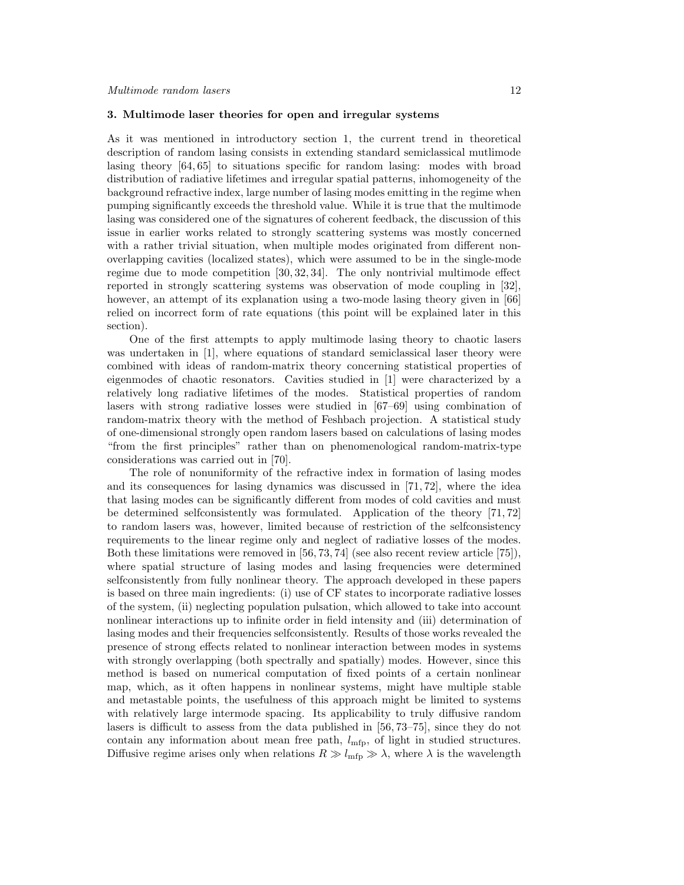## 3. Multimode laser theories for open and irregular systems

As it was mentioned in introductory section 1, the current trend in theoretical description of random lasing consists in extending standard semiclassical mutlimode lasing theory [64, 65] to situations specific for random lasing: modes with broad distribution of radiative lifetimes and irregular spatial patterns, inhomogeneity of the background refractive index, large number of lasing modes emitting in the regime when pumping significantly exceeds the threshold value. While it is true that the multimode lasing was considered one of the signatures of coherent feedback, the discussion of this issue in earlier works related to strongly scattering systems was mostly concerned with a rather trivial situation, when multiple modes originated from different nonoverlapping cavities (localized states), which were assumed to be in the single-mode regime due to mode competition [30, 32, 34]. The only nontrivial multimode effect reported in strongly scattering systems was observation of mode coupling in [32], however, an attempt of its explanation using a two-mode lasing theory given in [66] relied on incorrect form of rate equations (this point will be explained later in this section).

One of the first attempts to apply multimode lasing theory to chaotic lasers was undertaken in [1], where equations of standard semiclassical laser theory were combined with ideas of random-matrix theory concerning statistical properties of eigenmodes of chaotic resonators. Cavities studied in [1] were characterized by a relatively long radiative lifetimes of the modes. Statistical properties of random lasers with strong radiative losses were studied in [67–69] using combination of random-matrix theory with the method of Feshbach projection. A statistical study of one-dimensional strongly open random lasers based on calculations of lasing modes "from the first principles" rather than on phenomenological random-matrix-type considerations was carried out in [70].

The role of nonuniformity of the refractive index in formation of lasing modes and its consequences for lasing dynamics was discussed in [71, 72], where the idea that lasing modes can be significantly different from modes of cold cavities and must be determined selfconsistently was formulated. Application of the theory [71, 72] to random lasers was, however, limited because of restriction of the selfconsistency requirements to the linear regime only and neglect of radiative losses of the modes. Both these limitations were removed in [56, 73, 74] (see also recent review article [75]), where spatial structure of lasing modes and lasing frequencies were determined selfconsistently from fully nonlinear theory. The approach developed in these papers is based on three main ingredients: (i) use of CF states to incorporate radiative losses of the system, (ii) neglecting population pulsation, which allowed to take into account nonlinear interactions up to infinite order in field intensity and (iii) determination of lasing modes and their frequencies selfconsistently. Results of those works revealed the presence of strong effects related to nonlinear interaction between modes in systems with strongly overlapping (both spectrally and spatially) modes. However, since this method is based on numerical computation of fixed points of a certain nonlinear map, which, as it often happens in nonlinear systems, might have multiple stable and metastable points, the usefulness of this approach might be limited to systems with relatively large intermode spacing. Its applicability to truly diffusive random lasers is difficult to assess from the data published in [56, 73–75], since they do not contain any information about mean free path,  $l_{\text{mfp}}$ , of light in studied structures. Diffusive regime arises only when relations  $R \gg l_{\text{mfp}} \gg \lambda$ , where  $\lambda$  is the wavelength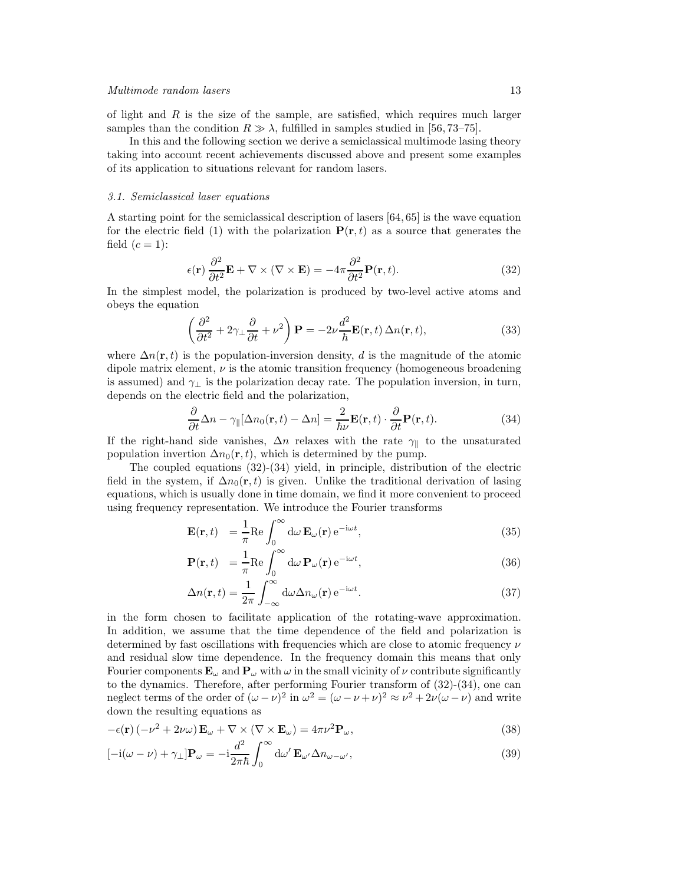of light and  $R$  is the size of the sample, are satisfied, which requires much larger samples than the condition  $R \gg \lambda$ , fulfilled in samples studied in [56, 73–75].

In this and the following section we derive a semiclassical multimode lasing theory taking into account recent achievements discussed above and present some examples of its application to situations relevant for random lasers.

## 3.1. Semiclassical laser equations

A starting point for the semiclassical description of lasers [64, 65] is the wave equation for the electric field (1) with the polarization  $P(\mathbf{r},t)$  as a source that generates the field  $(c=1)$ :

$$
\epsilon(\mathbf{r})\frac{\partial^2}{\partial t^2}\mathbf{E} + \nabla \times (\nabla \times \mathbf{E}) = -4\pi \frac{\partial^2}{\partial t^2}\mathbf{P}(\mathbf{r}, t).
$$
 (32)

In the simplest model, the polarization is produced by two-level active atoms and obeys the equation

$$
\left(\frac{\partial^2}{\partial t^2} + 2\gamma_\perp \frac{\partial}{\partial t} + \nu^2\right) \mathbf{P} = -2\nu \frac{d^2}{\hbar} \mathbf{E}(\mathbf{r}, t) \Delta n(\mathbf{r}, t),\tag{33}
$$

where  $\Delta n(\mathbf{r}, t)$  is the population-inversion density, d is the magnitude of the atomic dipole matrix element,  $\nu$  is the atomic transition frequency (homogeneous broadening is assumed) and  $\gamma_{\perp}$  is the polarization decay rate. The population inversion, in turn, depends on the electric field and the polarization,

$$
\frac{\partial}{\partial t}\Delta n - \gamma_{\parallel}[\Delta n_0(\mathbf{r}, t) - \Delta n] = \frac{2}{\hbar \nu} \mathbf{E}(\mathbf{r}, t) \cdot \frac{\partial}{\partial t} \mathbf{P}(\mathbf{r}, t).
$$
\n(34)

If the right-hand side vanishes,  $\Delta n$  relaxes with the rate  $\gamma_{\parallel}$  to the unsaturated population invertion  $\Delta n_0(\mathbf{r}, t)$ , which is determined by the pump.

The coupled equations  $(32)-(34)$  yield, in principle, distribution of the electric field in the system, if  $\Delta n_0(\mathbf{r}, t)$  is given. Unlike the traditional derivation of lasing equations, which is usually done in time domain, we find it more convenient to proceed using frequency representation. We introduce the Fourier transforms

$$
\mathbf{E}(\mathbf{r},t) = \frac{1}{\pi} \text{Re} \int_0^\infty d\omega \, \mathbf{E}_\omega(\mathbf{r}) \, e^{-i\omega t}, \tag{35}
$$

$$
\mathbf{P}(\mathbf{r},t) = \frac{1}{\pi} \text{Re} \int_0^\infty d\omega \, \mathbf{P}_\omega(\mathbf{r}) \, e^{-i\omega t},\tag{36}
$$

$$
\Delta n(\mathbf{r},t) = \frac{1}{2\pi} \int_{-\infty}^{\infty} d\omega \Delta n_{\omega}(\mathbf{r}) e^{-i\omega t}.
$$
\n(37)

in the form chosen to facilitate application of the rotating-wave approximation. In addition, we assume that the time dependence of the field and polarization is determined by fast oscillations with frequencies which are close to atomic frequency  $\nu$ and residual slow time dependence. In the frequency domain this means that only Fourier components  $\mathbf{E}_{\omega}$  and  $\mathbf{P}_{\omega}$  with  $\omega$  in the small vicinity of  $\nu$  contribute significantly to the dynamics. Therefore, after performing Fourier transform of (32)-(34), one can neglect terms of the order of  $(\omega - \nu)^2$  in  $\omega^2 = (\omega - \nu + \nu)^2 \approx \nu^2 + 2\nu(\omega - \nu)$  and write down the resulting equations as

$$
-\epsilon(\mathbf{r})\left(-\nu^2 + 2\nu\omega\right)\mathbf{E}_{\omega} + \nabla \times (\nabla \times \mathbf{E}_{\omega}) = 4\pi\nu^2 \mathbf{P}_{\omega},\tag{38}
$$

$$
[-i(\omega - \nu) + \gamma_{\perp}]\mathbf{P}_{\omega} = -i\frac{d^2}{2\pi\hbar} \int_0^{\infty} d\omega' \mathbf{E}_{\omega'} \Delta n_{\omega - \omega'},
$$
\n(39)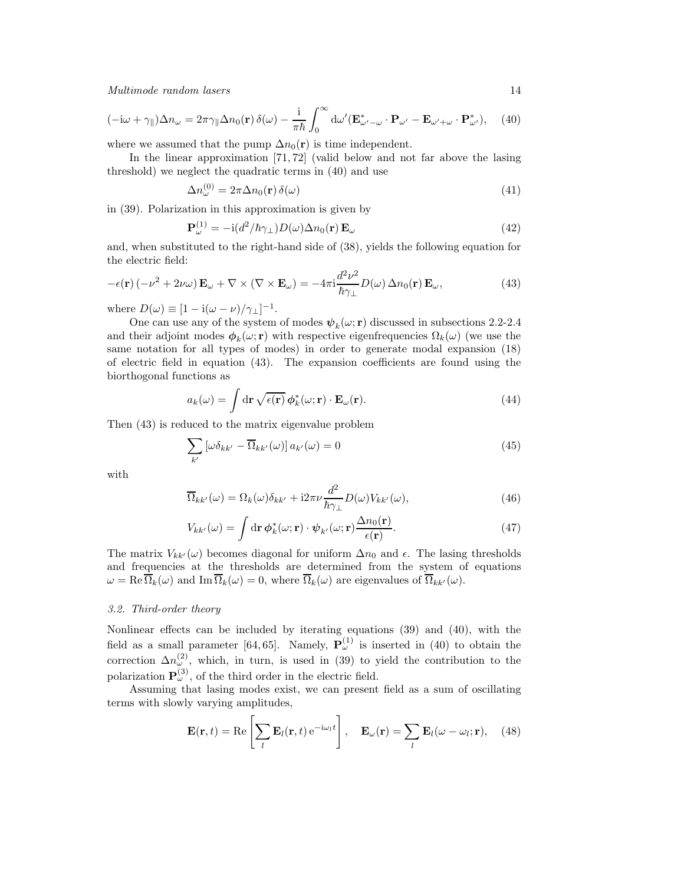$$
(-i\omega + \gamma_{\parallel})\Delta n_{\omega} = 2\pi \gamma_{\parallel} \Delta n_{0}(\mathbf{r}) \,\delta(\omega) - \frac{i}{\pi \hbar} \int_{0}^{\infty} d\omega' (\mathbf{E}^{*}_{\omega' - \omega} \cdot \mathbf{P}_{\omega'} - \mathbf{E}_{\omega' + \omega} \cdot \mathbf{P}^{*}_{\omega'}), \quad (40)
$$

where we assumed that the pump  $\Delta n_0(\mathbf{r})$  is time independent.

In the linear approximation [71, 72] (valid below and not far above the lasing threshold) we neglect the quadratic terms in (40) and use

$$
\Delta n_{\omega}^{(0)} = 2\pi \Delta n_0(\mathbf{r}) \,\delta(\omega) \tag{41}
$$

in (39). Polarization in this approximation is given by

$$
\mathbf{P}_{\omega}^{(1)} = -\mathrm{i}(d^2/\hbar\gamma_{\perp})D(\omega)\Delta n_0(\mathbf{r})\,\mathbf{E}_{\omega}
$$
\n(42)

and, when substituted to the right-hand side of (38), yields the following equation for the electric field:

$$
-\epsilon(\mathbf{r})\left(-\nu^2 + 2\nu\omega\right)\mathbf{E}_{\omega} + \nabla \times (\nabla \times \mathbf{E}_{\omega}) = -4\pi i \frac{d^2 \nu^2}{\hbar \gamma_{\perp}} D(\omega) \,\Delta n_0(\mathbf{r}) \,\mathbf{E}_{\omega},\tag{43}
$$

where  $D(\omega) \equiv [1 - i(\omega - \nu)/\gamma_{\perp}]^{-1}$ .

One can use any of the system of modes  $\psi_k(\omega; \mathbf{r})$  discussed in subsections 2.2-2.4 and their adjoint modes  $\phi_k(\omega; \mathbf{r})$  with respective eigenfrequencies  $\Omega_k(\omega)$  (we use the same notation for all types of modes) in order to generate modal expansion (18) of electric field in equation (43). The expansion coefficients are found using the biorthogonal functions as

$$
a_k(\omega) = \int \mathrm{d}\mathbf{r} \sqrt{\epsilon(\mathbf{r})} \phi_k^*(\omega; \mathbf{r}) \cdot \mathbf{E}_{\omega}(\mathbf{r}). \tag{44}
$$

Then (43) is reduced to the matrix eigenvalue problem

$$
\sum_{k'} \left[ \omega \delta_{kk'} - \overline{\Omega}_{kk'}(\omega) \right] a_{k'}(\omega) = 0 \tag{45}
$$

with

$$
\overline{\Omega}_{kk'}(\omega) = \Omega_k(\omega)\delta_{kk'} + i2\pi\nu\frac{d^2}{\hbar\gamma_\perp}D(\omega)V_{kk'}(\omega),\tag{46}
$$

$$
V_{kk'}(\omega) = \int \mathrm{d}\mathbf{r} \, \phi_k^*(\omega; \mathbf{r}) \cdot \psi_{k'}(\omega; \mathbf{r}) \frac{\Delta n_0(\mathbf{r})}{\epsilon(\mathbf{r})}.\tag{47}
$$

The matrix  $V_{kk'}(\omega)$  becomes diagonal for uniform  $\Delta n_0$  and  $\epsilon$ . The lasing thresholds and frequencies at the thresholds are determined from the system of equations  $\omega = \text{Re}\,\overline{\Omega}_k(\omega)$  and  $\text{Im}\,\overline{\Omega}_k(\omega) = 0$ , where  $\overline{\Omega}_k(\omega)$  are eigenvalues of  $\overline{\Omega}_{kk'}(\omega)$ .

## 3.2. Third-order theory

Nonlinear effects can be included by iterating equations (39) and (40), with the field as a small parameter [64, 65]. Namely,  $P_{\omega}^{(1)}$  is inserted in (40) to obtain the correction  $\Delta n_{\omega}^{(2)}$ , which, in turn, is used in (39) to yield the contribution to the polarization  $\mathbf{P}^{(3)}_{\omega}$ , of the third order in the electric field.

Assuming that lasing modes exist, we can present field as a sum of oscillating terms with slowly varying amplitudes,

$$
\mathbf{E}(\mathbf{r},t) = \text{Re}\left[\sum_{l} \mathbf{E}_{l}(\mathbf{r},t) e^{-i\omega_{l}t}\right], \quad \mathbf{E}_{\omega}(\mathbf{r}) = \sum_{l} \mathbf{E}_{l}(\omega - \omega_{l}; \mathbf{r}), \quad (48)
$$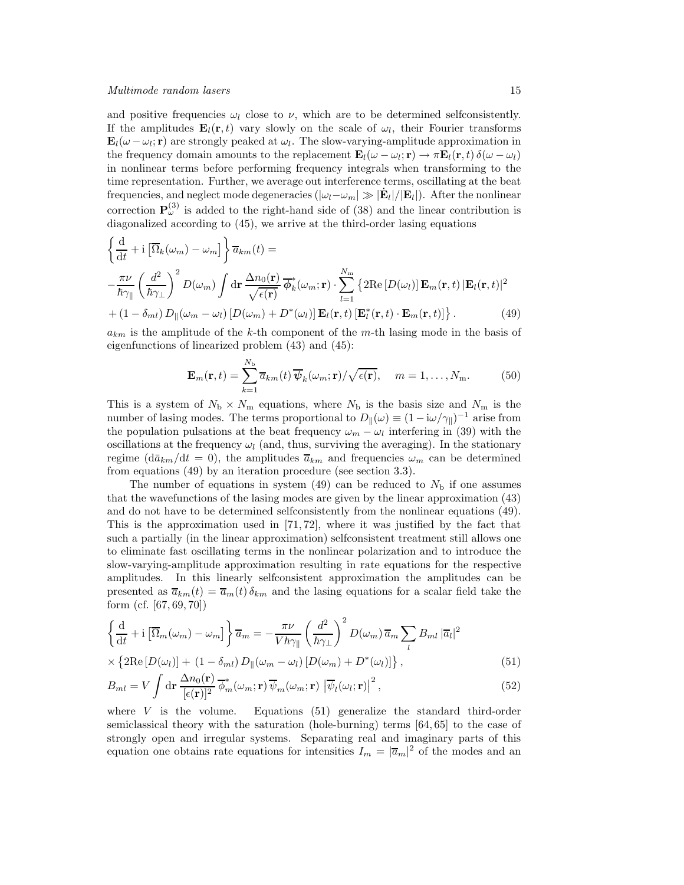and positive frequencies  $\omega_l$  close to  $\nu$ , which are to be determined selfconsistently. If the amplitudes  $\mathbf{E}_l(\mathbf{r},t)$  vary slowly on the scale of  $\omega_l$ , their Fourier transforms  $\mathbf{E}_l(\omega - \omega_l; \mathbf{r})$  are strongly peaked at  $\omega_l$ . The slow-varying-amplitude approximation in the frequency domain amounts to the replacement  $\mathbf{E}_l(\omega - \omega_l; \mathbf{r}) \to \pi \mathbf{E}_l(\mathbf{r}, t) \delta(\omega - \omega_l)$ in nonlinear terms before performing frequency integrals when transforming to the time representation. Further, we average out interference terms, oscillating at the beat frequencies, and neglect mode degeneracies  $(|\omega_l - \omega_m| \gg |\mathbf{E}_l|/|\mathbf{E}_l|)$ . After the nonlinear correction  $\mathbf{P}^{(3)}_{\omega}$  is added to the right-hand side of (38) and the linear contribution is diagonalized according to (45), we arrive at the third-order lasing equations

$$
\begin{aligned}\n\left\{\frac{\mathrm{d}}{\mathrm{d}t} + \mathrm{i}\left[\overline{\Omega}_{k}(\omega_{m}) - \omega_{m}\right]\right\} \overline{a}_{km}(t) &= \\
-\frac{\pi\nu}{\hbar\gamma_{\parallel}} \left(\frac{d^{2}}{\hbar\gamma_{\perp}}\right)^{2} D(\omega_{m}) \int \mathrm{d}\mathbf{r} \frac{\Delta n_{0}(\mathbf{r})}{\sqrt{\epsilon(\mathbf{r})}} \overline{\phi}_{k}^{*}(\omega_{m}; \mathbf{r}) \cdot \sum_{l=1}^{N_{m}} \left\{2\mathrm{Re}\left[D(\omega_{l})\right] \mathbf{E}_{m}(\mathbf{r}, t) \left|\mathbf{E}_{l}(\mathbf{r}, t)\right|^{2} \right. \\
&\left. + (1 - \delta_{ml}) D_{\parallel}(\omega_{m} - \omega_{l}) \left[D(\omega_{m}) + D^{*}(\omega_{l})\right] \mathbf{E}_{l}(\mathbf{r}, t) \left[\mathbf{E}_{l}^{*}(\mathbf{r}, t) \cdot \mathbf{E}_{m}(\mathbf{r}, t)\right]\right\}.\n\end{aligned} \tag{49}
$$

 $a_{km}$  is the amplitude of the k-th component of the m-th lasing mode in the basis of eigenfunctions of linearized problem (43) and (45):

$$
\mathbf{E}_{m}(\mathbf{r},t) = \sum_{k=1}^{N_{\rm b}} \overline{a}_{km}(t) \overline{\psi}_{k}(\omega_{m};\mathbf{r})/\sqrt{\epsilon(\mathbf{r})}, \quad m = 1,\ldots,N_{\rm m}.
$$
 (50)

This is a system of  $N_{\rm b} \times N_{\rm m}$  equations, where  $N_{\rm b}$  is the basis size and  $N_{\rm m}$  is the number of lasing modes. The terms proportional to  $D_{\parallel}(\omega) \equiv (1 - i\omega/\gamma_{\parallel})^{-1}$  arise from the population pulsations at the beat frequency  $\omega_m - \omega_l$  interfering in (39) with the oscillations at the frequency  $\omega_l$  (and, thus, surviving the averaging). In the stationary regime ( $d\bar{a}_{km}/dt = 0$ ), the amplitudes  $\bar{a}_{km}$  and frequencies  $\omega_m$  can be determined from equations (49) by an iteration procedure (see section 3.3).

The number of equations in system (49) can be reduced to  $N<sub>b</sub>$  if one assumes that the wavefunctions of the lasing modes are given by the linear approximation (43) and do not have to be determined selfconsistently from the nonlinear equations (49). This is the approximation used in [71, 72], where it was justified by the fact that such a partially (in the linear approximation) selfconsistent treatment still allows one to eliminate fast oscillating terms in the nonlinear polarization and to introduce the slow-varying-amplitude approximation resulting in rate equations for the respective amplitudes. In this linearly selfconsistent approximation the amplitudes can be presented as  $\bar{a}_{km}(t) = \bar{a}_m(t) \delta_{km}$  and the lasing equations for a scalar field take the form (cf. [67, 69, 70])

$$
\left\{\frac{\mathrm{d}}{\mathrm{d}t} + i\left[\overline{\Omega}_{m}(\omega_{m}) - \omega_{m}\right]\right\}\overline{a}_{m} = -\frac{\pi\nu}{V\hbar\gamma_{\parallel}}\left(\frac{d^{2}}{\hbar\gamma_{\perp}}\right)^{2}D(\omega_{m})\overline{a}_{m}\sum_{l}B_{ml}\left|\overline{a}_{l}\right|^{2}
$$

$$
\times\left\{2\mathrm{Re}\left[D(\omega_{l})\right] + \left(1 - \delta_{ml}\right)D_{\parallel}(\omega_{m} - \omega_{l})\left[D(\omega_{m}) + D^{*}(\omega_{l})\right]\right\}.\tag{51}
$$

$$
\times \left\{ 2\mathrm{Re}\left[ D(\omega_l) \right] + (1 - \delta_{ml}) D_{\parallel}(\omega_m - \omega_l) \left[ D(\omega_m) + D^*(\omega_l) \right] \right\},\tag{51}
$$

$$
B_{ml} = V \int \mathrm{d}\mathbf{r} \, \frac{\Delta n_0(\mathbf{r})}{[\epsilon(\mathbf{r})]^2} \overline{\phi}_m^*(\omega_m; \mathbf{r}) \, \overline{\psi}_m(\omega_m; \mathbf{r}) \, \left| \overline{\psi}_l(\omega_l; \mathbf{r}) \right|^2, \tag{52}
$$

where  $V$  is the volume. Equations (51) generalize the standard third-order semiclassical theory with the saturation (hole-burning) terms [64, 65] to the case of strongly open and irregular systems. Separating real and imaginary parts of this equation one obtains rate equations for intensities  $I_m = |\overline{a}_m|^2$  of the modes and an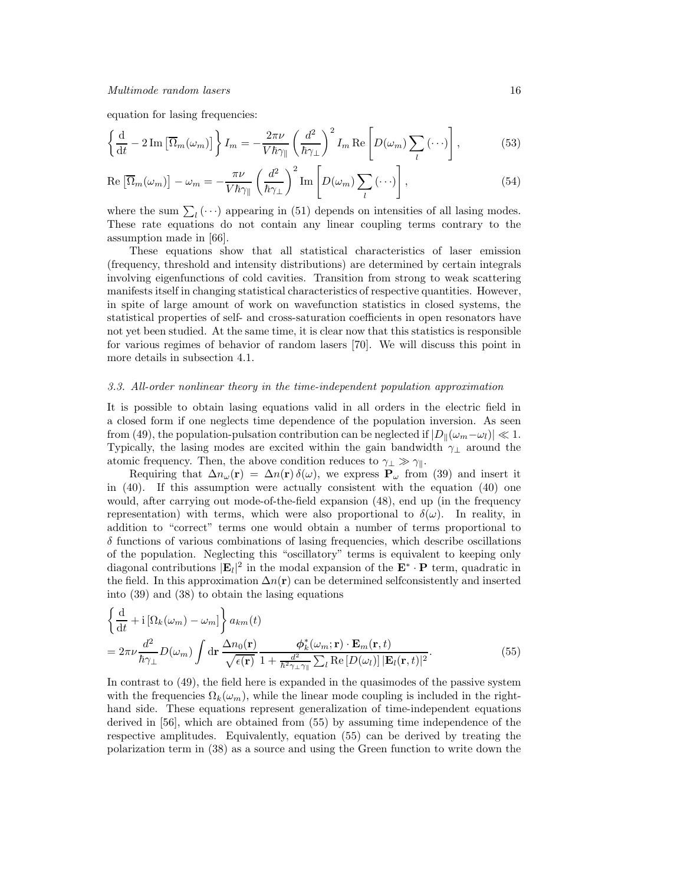equation for lasing frequencies:

$$
\left\{\frac{\mathrm{d}}{\mathrm{d}t} - 2\,\mathrm{Im}\left[\overline{\Omega}_m(\omega_m)\right]\right\} I_m = -\frac{2\pi\nu}{V\hbar\gamma_{\parallel}} \left(\frac{d^2}{\hbar\gamma_{\perp}}\right)^2 I_m \operatorname{Re}\left[D(\omega_m)\sum_l\left(\cdots\right)\right],\tag{53}
$$

$$
\operatorname{Re}\left[\overline{\Omega}_{m}(\omega_{m})\right] - \omega_{m} = -\frac{\pi\nu}{V\hbar\gamma_{\parallel}}\left(\frac{d^{2}}{\hbar\gamma_{\perp}}\right)^{2}\operatorname{Im}\left[D(\omega_{m})\sum_{l}(\cdots)\right],\tag{54}
$$

where the sum  $\sum_l (\cdots)$  appearing in (51) depends on intensities of all lasing modes. These rate equations do not contain any linear coupling terms contrary to the assumption made in [66].

These equations show that all statistical characteristics of laser emission (frequency, threshold and intensity distributions) are determined by certain integrals involving eigenfunctions of cold cavities. Transition from strong to weak scattering manifests itself in changing statistical characteristics of respective quantities. However, in spite of large amount of work on wavefunction statistics in closed systems, the statistical properties of self- and cross-saturation coefficients in open resonators have not yet been studied. At the same time, it is clear now that this statistics is responsible for various regimes of behavior of random lasers [70]. We will discuss this point in more details in subsection 4.1.

## 3.3. All-order nonlinear theory in the time-independent population approximation

It is possible to obtain lasing equations valid in all orders in the electric field in a closed form if one neglects time dependence of the population inversion. As seen from (49), the population-pulsation contribution can be neglected if  $|D_{\parallel}(\omega_m-\omega_l)| \ll 1$ . Typically, the lasing modes are excited within the gain bandwidth  $\gamma_{\perp}$  around the atomic frequency. Then, the above condition reduces to  $\gamma_{\perp} \gg \gamma_{\parallel}$ .

Requiring that  $\Delta n_{\omega}(\mathbf{r}) = \Delta n(\mathbf{r}) \delta(\omega)$ , we express  $\mathbf{P}_{\omega}$  from (39) and insert it in (40). If this assumption were actually consistent with the equation (40) one would, after carrying out mode-of-the-field expansion (48), end up (in the frequency representation) with terms, which were also proportional to  $\delta(\omega)$ . In reality, in addition to "correct" terms one would obtain a number of terms proportional to  $\delta$  functions of various combinations of lasing frequencies, which describe oscillations of the population. Neglecting this "oscillatory" terms is equivalent to keeping only diagonal contributions  $|\mathbf{E}_l|^2$  in the modal expansion of the  $\mathbf{E}^* \cdot \mathbf{P}$  term, quadratic in the field. In this approximation  $\Delta n(\mathbf{r})$  can be determined selfconsistently and inserted into (39) and (38) to obtain the lasing equations

$$
\begin{split} &\left\{\frac{\mathrm{d}}{\mathrm{d}t} + \mathrm{i}\left[\Omega_{k}(\omega_{m}) - \omega_{m}\right]\right\} a_{km}(t) \\ &= 2\pi\nu \frac{d^{2}}{\hbar\gamma_{\perp}}D(\omega_{m})\int\mathrm{d}\mathbf{r}\,\frac{\Delta n_{0}(\mathbf{r})}{\sqrt{\epsilon(\mathbf{r})}}\frac{\phi_{k}^{*}(\omega_{m};\mathbf{r})\cdot\mathbf{E}_{m}(\mathbf{r},t)}{\frac{d^{2}}{h^{2}\gamma_{\perp}\gamma_{\parallel}}\sum_{l}\mathrm{Re}\left[D(\omega_{l})\right]\left|\mathbf{E}_{l}(\mathbf{r},t)\right|^{2}}.\end{split} \tag{55}
$$

In contrast to (49), the field here is expanded in the quasimodes of the passive system with the frequencies  $\Omega_k(\omega_m)$ , while the linear mode coupling is included in the righthand side. These equations represent generalization of time-independent equations derived in [56], which are obtained from (55) by assuming time independence of the respective amplitudes. Equivalently, equation (55) can be derived by treating the polarization term in (38) as a source and using the Green function to write down the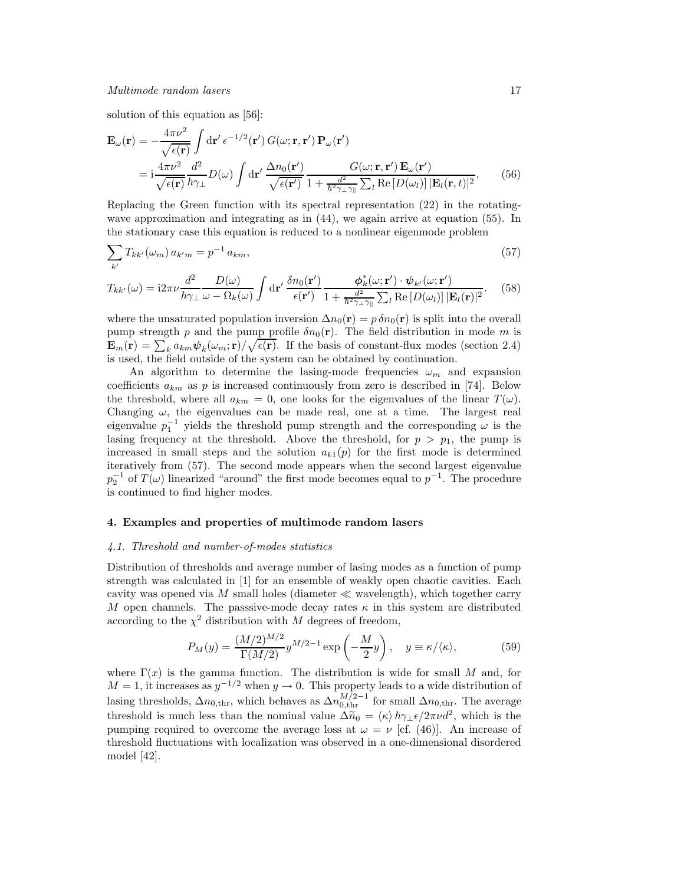solution of this equation as [56]:

$$
\mathbf{E}_{\omega}(\mathbf{r}) = -\frac{4\pi\nu^2}{\sqrt{\epsilon(\mathbf{r})}} \int d\mathbf{r}' \,\epsilon^{-1/2}(\mathbf{r}') \, G(\omega; \mathbf{r}, \mathbf{r}') \, \mathbf{P}_{\omega}(\mathbf{r}')
$$
\n
$$
= i \frac{4\pi\nu^2}{\sqrt{\epsilon(\mathbf{r})}} \frac{d^2}{\hbar \gamma_\perp} D(\omega) \int d\mathbf{r}' \, \frac{\Delta n_0(\mathbf{r}')}{\sqrt{\epsilon(\mathbf{r}')} \, 1 + \frac{d^2}{\hbar^2 \gamma_\perp \gamma_\parallel} \sum_l \text{Re}\left[D(\omega_l)\right] |\mathbf{E}_l(\mathbf{r}, t)|^2} . \tag{56}
$$

Replacing the Green function with its spectral representation (22) in the rotatingwave approximation and integrating as in (44), we again arrive at equation (55). In the stationary case this equation is reduced to a nonlinear eigenmode problem

$$
\sum_{k'} T_{kk'}(\omega_m) a_{k'm} = p^{-1} a_{km},\tag{57}
$$

$$
T_{kk'}(\omega) = i2\pi\nu \frac{d^2}{\hbar\gamma_\perp} \frac{D(\omega)}{\omega - \Omega_k(\omega)} \int \mathrm{d}\mathbf{r}' \frac{\delta n_0(\mathbf{r}')}{\epsilon(\mathbf{r}')} \frac{\phi_k^*(\omega; \mathbf{r}') \cdot \psi_{k'}(\omega; \mathbf{r}')}{1 + \frac{d^2}{\hbar^2\gamma_\perp\gamma_\parallel} \sum_l \mathrm{Re}\left[D(\omega_l)\right] |\mathbf{E}_l(\mathbf{r})|^2}.
$$
 (58)

where the unsaturated population inversion  $\Delta n_0(\mathbf{r}) = p \, \delta n_0(\mathbf{r})$  is split into the overall pump strength p and the pump profile  $\delta n_0(\mathbf{r})$ . The field distribution in mode m is  $\mathbf{E}_m(\mathbf{r}) = \sum_k a_{km} \psi_k(\omega_m; \mathbf{r}) / \sqrt{\epsilon(\mathbf{r})}$ . If the basis of constant-flux modes (section 2.4) is used, the field outside of the system can be obtained by continuation.

An algorithm to determine the lasing-mode frequencies  $\omega_m$  and expansion coefficients  $a_{km}$  as p is increased continuously from zero is described in [74]. Below the threshold, where all  $a_{km} = 0$ , one looks for the eigenvalues of the linear  $T(\omega)$ . Changing  $\omega$ , the eigenvalues can be made real, one at a time. The largest real eigenvalue  $p_1^{-1}$  yields the threshold pump strength and the corresponding  $\omega$  is the lasing frequency at the threshold. Above the threshold, for  $p > p_1$ , the pump is increased in small steps and the solution  $a_{k1}(p)$  for the first mode is determined iteratively from (57). The second mode appears when the second largest eigenvalue  $p_2^{-1}$  of  $T(\omega)$  linearized "around" the first mode becomes equal to  $p^{-1}$ . The procedure is continued to find higher modes.

## 4. Examples and properties of multimode random lasers

## 4.1. Threshold and number-of-modes statistics

Distribution of thresholds and average number of lasing modes as a function of pump strength was calculated in [1] for an ensemble of weakly open chaotic cavities. Each cavity was opened via M small holes (diameter  $\ll$  wavelength), which together carry M open channels. The passsive-mode decay rates  $\kappa$  in this system are distributed according to the  $\chi^2$  distribution with M degrees of freedom,

$$
P_M(y) = \frac{(M/2)^{M/2}}{\Gamma(M/2)} y^{M/2 - 1} \exp\left(-\frac{M}{2}y\right), \quad y \equiv \kappa/\langle\kappa\rangle,\tag{59}
$$

where  $\Gamma(x)$  is the gamma function. The distribution is wide for small M and, for  $M = 1$ , it increases as  $y^{-1/2}$  when  $y \to 0$ . This property leads to a wide distribution of lasing thresholds,  $\Delta n_{0,\text{thr}}$ , which behaves as  $\Delta n_{0,\text{thr}}^{M/2-1}$  for small  $\Delta n_{0,\text{thr}}$ . The average threshold is much less than the nominal value  $\Delta \tilde{n}_0 = \langle \kappa \rangle \hbar \gamma_\perp \epsilon / 2\pi \nu d^2$ , which is the pumping required to overcome the average loss at  $\omega = \nu$  [cf. (46)]. An increase of threshold fluctuations with localization was observed in a one-dimensional disordered model [42].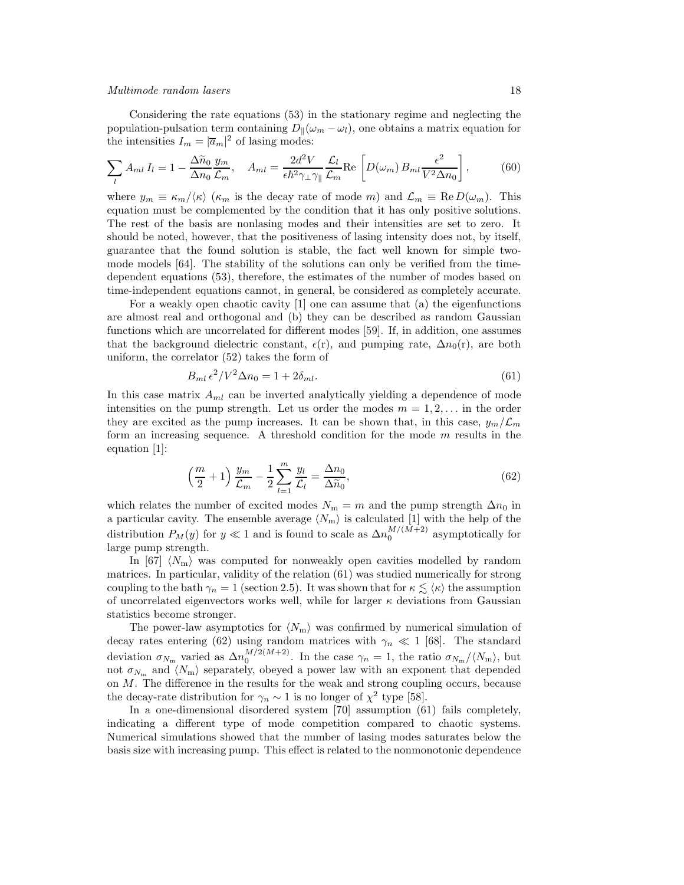Considering the rate equations (53) in the stationary regime and neglecting the population-pulsation term containing  $D_{\parallel}(\omega_m - \omega_l)$ , one obtains a matrix equation for the intensities  $I_m = |\overline{a}_m|^2$  of lasing modes:

$$
\sum_{l} A_{ml} I_l = 1 - \frac{\Delta \tilde{n}_0}{\Delta n_0} \frac{y_m}{\mathcal{L}_m}, \quad A_{ml} = \frac{2d^2 V}{\epsilon \hbar^2 \gamma_\perp \gamma_\parallel} \frac{\mathcal{L}_l}{\mathcal{L}_m} \text{Re} \left[ D(\omega_m) B_{ml} \frac{\epsilon^2}{V^2 \Delta n_0} \right], \tag{60}
$$

where  $y_m \equiv \kappa_m/\langle \kappa \rangle$  ( $\kappa_m$  is the decay rate of mode m) and  $\mathcal{L}_m \equiv \text{Re } D(\omega_m)$ . This equation must be complemented by the condition that it has only positive solutions. The rest of the basis are nonlasing modes and their intensities are set to zero. It should be noted, however, that the positiveness of lasing intensity does not, by itself, guarantee that the found solution is stable, the fact well known for simple twomode models [64]. The stability of the solutions can only be verified from the timedependent equations (53), therefore, the estimates of the number of modes based on time-independent equations cannot, in general, be considered as completely accurate.

For a weakly open chaotic cavity [1] one can assume that (a) the eigenfunctions are almost real and orthogonal and (b) they can be described as random Gaussian functions which are uncorrelated for different modes [59]. If, in addition, one assumes that the background dielectric constant,  $\epsilon(r)$ , and pumping rate,  $\Delta n_0(r)$ , are both uniform, the correlator (52) takes the form of

$$
B_{ml} \epsilon^2 / V^2 \Delta n_0 = 1 + 2\delta_{ml}.\tag{61}
$$

In this case matrix  $A_{ml}$  can be inverted analytically yielding a dependence of mode intensities on the pump strength. Let us order the modes  $m = 1, 2, \ldots$  in the order they are excited as the pump increases. It can be shown that, in this case,  $y_m/\mathcal{L}_m$ form an increasing sequence. A threshold condition for the mode  $m$  results in the equation [1]:

$$
\left(\frac{m}{2}+1\right)\frac{y_m}{\mathcal{L}_m} - \frac{1}{2}\sum_{l=1}^m \frac{y_l}{\mathcal{L}_l} = \frac{\Delta n_0}{\Delta \widetilde{n}_0},\tag{62}
$$

which relates the number of excited modes  $N_m = m$  and the pump strength  $\Delta n_0$  in a particular cavity. The ensemble average  $\langle N_{\text{m}} \rangle$  is calculated [1] with the help of the distribution  $P_M(y)$  for  $y \ll 1$  and is found to scale as  $\Delta n_0^{M/(M+2)}$  asymptotically for large pump strength.

In [67]  $\langle N_{\rm m} \rangle$  was computed for nonweakly open cavities modelled by random matrices. In particular, validity of the relation (61) was studied numerically for strong coupling to the bath  $\gamma_n = 1$  (section 2.5). It was shown that for  $\kappa \lesssim \langle \kappa \rangle$  the assumption of uncorrelated eigenvectors works well, while for larger  $\kappa$  deviations from Gaussian statistics become stronger.

The power-law asymptotics for  $\langle N_{\rm m} \rangle$  was confirmed by numerical simulation of decay rates entering (62) using random matrices with  $\gamma_n \ll 1$  [68]. The standard deviation  $\sigma_{N_{\rm m}}$  varied as  $\Delta n_0^{M/2(M+2)}$ . In the case  $\gamma_n = 1$ , the ratio  $\sigma_{N_{\rm m}}/\langle N_{\rm m} \rangle$ , but not  $\sigma_{N_m}$  and  $\langle N_m \rangle$  separately, obeyed a power law with an exponent that depended on M. The difference in the results for the weak and strong coupling occurs, because the decay-rate distribution for  $\gamma_n \sim 1$  is no longer of  $\chi^2$  type [58].

In a one-dimensional disordered system [70] assumption (61) fails completely, indicating a different type of mode competition compared to chaotic systems. Numerical simulations showed that the number of lasing modes saturates below the basis size with increasing pump. This effect is related to the nonmonotonic dependence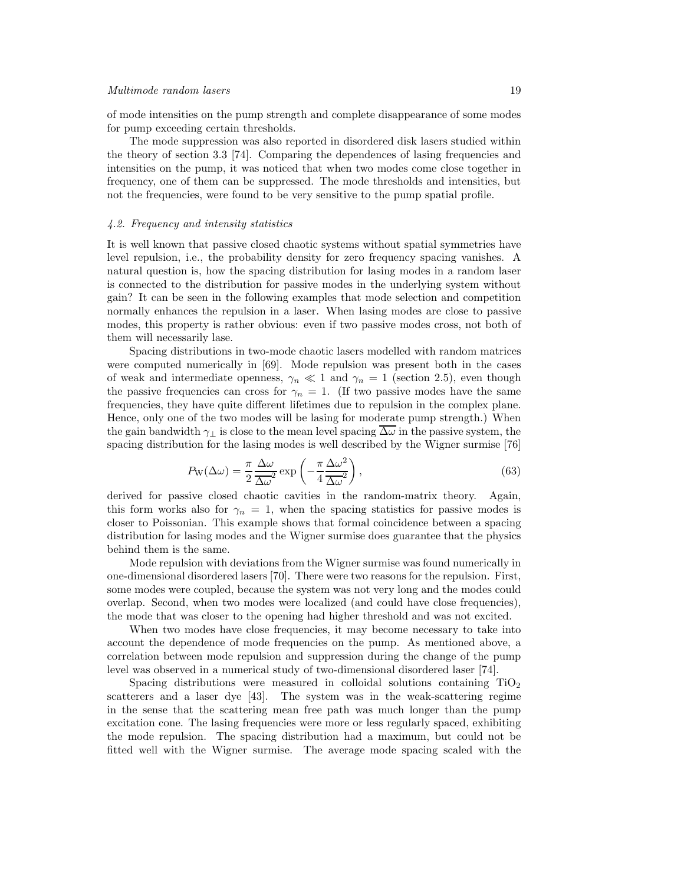of mode intensities on the pump strength and complete disappearance of some modes for pump exceeding certain thresholds.

The mode suppression was also reported in disordered disk lasers studied within the theory of section 3.3 [74]. Comparing the dependences of lasing frequencies and intensities on the pump, it was noticed that when two modes come close together in frequency, one of them can be suppressed. The mode thresholds and intensities, but not the frequencies, were found to be very sensitive to the pump spatial profile.

#### 4.2. Frequency and intensity statistics

It is well known that passive closed chaotic systems without spatial symmetries have level repulsion, i.e., the probability density for zero frequency spacing vanishes. A natural question is, how the spacing distribution for lasing modes in a random laser is connected to the distribution for passive modes in the underlying system without gain? It can be seen in the following examples that mode selection and competition normally enhances the repulsion in a laser. When lasing modes are close to passive modes, this property is rather obvious: even if two passive modes cross, not both of them will necessarily lase.

Spacing distributions in two-mode chaotic lasers modelled with random matrices were computed numerically in [69]. Mode repulsion was present both in the cases of weak and intermediate openness,  $\gamma_n \ll 1$  and  $\gamma_n = 1$  (section 2.5), even though the passive frequencies can cross for  $\gamma_n = 1$ . (If two passive modes have the same frequencies, they have quite different lifetimes due to repulsion in the complex plane. Hence, only one of the two modes will be lasing for moderate pump strength.) When the gain bandwidth  $\gamma_{\perp}$  is close to the mean level spacing  $\overline{\Delta\omega}$  in the passive system, the spacing distribution for the lasing modes is well described by the Wigner surmise [76]

$$
P_{\rm W}(\Delta\omega) = \frac{\pi}{2} \frac{\Delta\omega}{\Delta\omega^2} \exp\left(-\frac{\pi}{4} \frac{\Delta\omega^2}{\Delta\omega^2}\right),\tag{63}
$$

derived for passive closed chaotic cavities in the random-matrix theory. Again, this form works also for  $\gamma_n = 1$ , when the spacing statistics for passive modes is closer to Poissonian. This example shows that formal coincidence between a spacing distribution for lasing modes and the Wigner surmise does guarantee that the physics behind them is the same.

Mode repulsion with deviations from the Wigner surmise was found numerically in one-dimensional disordered lasers [70]. There were two reasons for the repulsion. First, some modes were coupled, because the system was not very long and the modes could overlap. Second, when two modes were localized (and could have close frequencies), the mode that was closer to the opening had higher threshold and was not excited.

When two modes have close frequencies, it may become necessary to take into account the dependence of mode frequencies on the pump. As mentioned above, a correlation between mode repulsion and suppression during the change of the pump level was observed in a numerical study of two-dimensional disordered laser [74].

Spacing distributions were measured in colloidal solutions containing  $TiO<sub>2</sub>$ scatterers and a laser dye [43]. The system was in the weak-scattering regime in the sense that the scattering mean free path was much longer than the pump excitation cone. The lasing frequencies were more or less regularly spaced, exhibiting the mode repulsion. The spacing distribution had a maximum, but could not be fitted well with the Wigner surmise. The average mode spacing scaled with the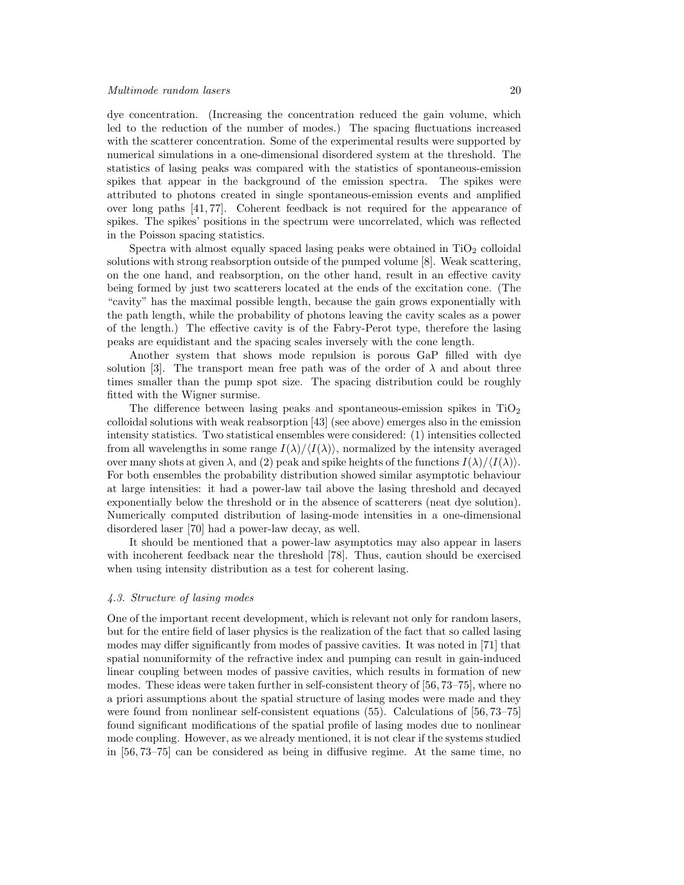dye concentration. (Increasing the concentration reduced the gain volume, which led to the reduction of the number of modes.) The spacing fluctuations increased with the scatterer concentration. Some of the experimental results were supported by numerical simulations in a one-dimensional disordered system at the threshold. The statistics of lasing peaks was compared with the statistics of spontaneous-emission spikes that appear in the background of the emission spectra. The spikes were attributed to photons created in single spontaneous-emission events and amplified over long paths [41, 77]. Coherent feedback is not required for the appearance of spikes. The spikes' positions in the spectrum were uncorrelated, which was reflected in the Poisson spacing statistics.

Spectra with almost equally spaced lasing peaks were obtained in  $TiO<sub>2</sub>$  colloidal solutions with strong reabsorption outside of the pumped volume [8]. Weak scattering, on the one hand, and reabsorption, on the other hand, result in an effective cavity being formed by just two scatterers located at the ends of the excitation cone. (The "cavity" has the maximal possible length, because the gain grows exponentially with the path length, while the probability of photons leaving the cavity scales as a power of the length.) The effective cavity is of the Fabry-Perot type, therefore the lasing peaks are equidistant and the spacing scales inversely with the cone length.

Another system that shows mode repulsion is porous GaP filled with dye solution [3]. The transport mean free path was of the order of  $\lambda$  and about three times smaller than the pump spot size. The spacing distribution could be roughly fitted with the Wigner surmise.

The difference between lasing peaks and spontaneous-emission spikes in  $TiO<sub>2</sub>$ colloidal solutions with weak reabsorption [43] (see above) emerges also in the emission intensity statistics. Two statistical ensembles were considered: (1) intensities collected from all wavelengths in some range  $I(\lambda)/\langle I(\lambda)\rangle$ , normalized by the intensity averaged over many shots at given  $\lambda$ , and (2) peak and spike heights of the functions  $I(\lambda)/\langle I(\lambda)\rangle$ . For both ensembles the probability distribution showed similar asymptotic behaviour at large intensities: it had a power-law tail above the lasing threshold and decayed exponentially below the threshold or in the absence of scatterers (neat dye solution). Numerically computed distribution of lasing-mode intensities in a one-dimensional disordered laser [70] had a power-law decay, as well.

It should be mentioned that a power-law asymptotics may also appear in lasers with incoherent feedback near the threshold [78]. Thus, caution should be exercised when using intensity distribution as a test for coherent lasing.

#### 4.3. Structure of lasing modes

One of the important recent development, which is relevant not only for random lasers, but for the entire field of laser physics is the realization of the fact that so called lasing modes may differ significantly from modes of passive cavities. It was noted in [71] that spatial nonuniformity of the refractive index and pumping can result in gain-induced linear coupling between modes of passive cavities, which results in formation of new modes. These ideas were taken further in self-consistent theory of [56, 73–75], where no a priori assumptions about the spatial structure of lasing modes were made and they were found from nonlinear self-consistent equations (55). Calculations of [56, 73–75] found significant modifications of the spatial profile of lasing modes due to nonlinear mode coupling. However, as we already mentioned, it is not clear if the systems studied in [56, 73–75] can be considered as being in diffusive regime. At the same time, no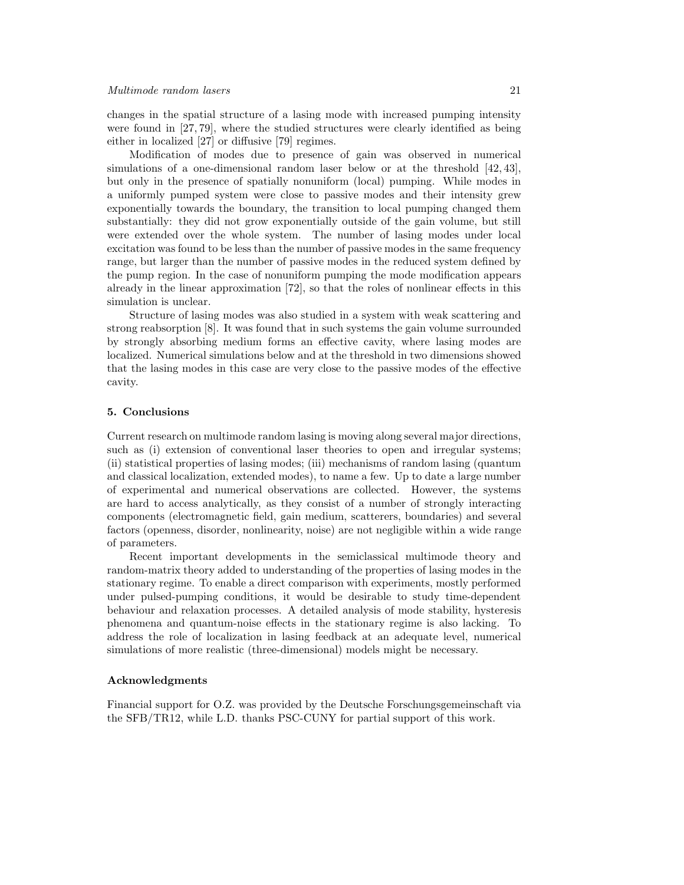changes in the spatial structure of a lasing mode with increased pumping intensity were found in [27, 79], where the studied structures were clearly identified as being either in localized [27] or diffusive [79] regimes.

Modification of modes due to presence of gain was observed in numerical simulations of a one-dimensional random laser below or at the threshold [42, 43], but only in the presence of spatially nonuniform (local) pumping. While modes in a uniformly pumped system were close to passive modes and their intensity grew exponentially towards the boundary, the transition to local pumping changed them substantially: they did not grow exponentially outside of the gain volume, but still were extended over the whole system. The number of lasing modes under local excitation was found to be less than the number of passive modes in the same frequency range, but larger than the number of passive modes in the reduced system defined by the pump region. In the case of nonuniform pumping the mode modification appears already in the linear approximation [72], so that the roles of nonlinear effects in this simulation is unclear.

Structure of lasing modes was also studied in a system with weak scattering and strong reabsorption [8]. It was found that in such systems the gain volume surrounded by strongly absorbing medium forms an effective cavity, where lasing modes are localized. Numerical simulations below and at the threshold in two dimensions showed that the lasing modes in this case are very close to the passive modes of the effective cavity.

## 5. Conclusions

Current research on multimode random lasing is moving along several major directions, such as (i) extension of conventional laser theories to open and irregular systems; (ii) statistical properties of lasing modes; (iii) mechanisms of random lasing (quantum and classical localization, extended modes), to name a few. Up to date a large number of experimental and numerical observations are collected. However, the systems are hard to access analytically, as they consist of a number of strongly interacting components (electromagnetic field, gain medium, scatterers, boundaries) and several factors (openness, disorder, nonlinearity, noise) are not negligible within a wide range of parameters.

Recent important developments in the semiclassical multimode theory and random-matrix theory added to understanding of the properties of lasing modes in the stationary regime. To enable a direct comparison with experiments, mostly performed under pulsed-pumping conditions, it would be desirable to study time-dependent behaviour and relaxation processes. A detailed analysis of mode stability, hysteresis phenomena and quantum-noise effects in the stationary regime is also lacking. To address the role of localization in lasing feedback at an adequate level, numerical simulations of more realistic (three-dimensional) models might be necessary.

## Acknowledgments

Financial support for O.Z. was provided by the Deutsche Forschungsgemeinschaft via the SFB/TR12, while L.D. thanks PSC-CUNY for partial support of this work.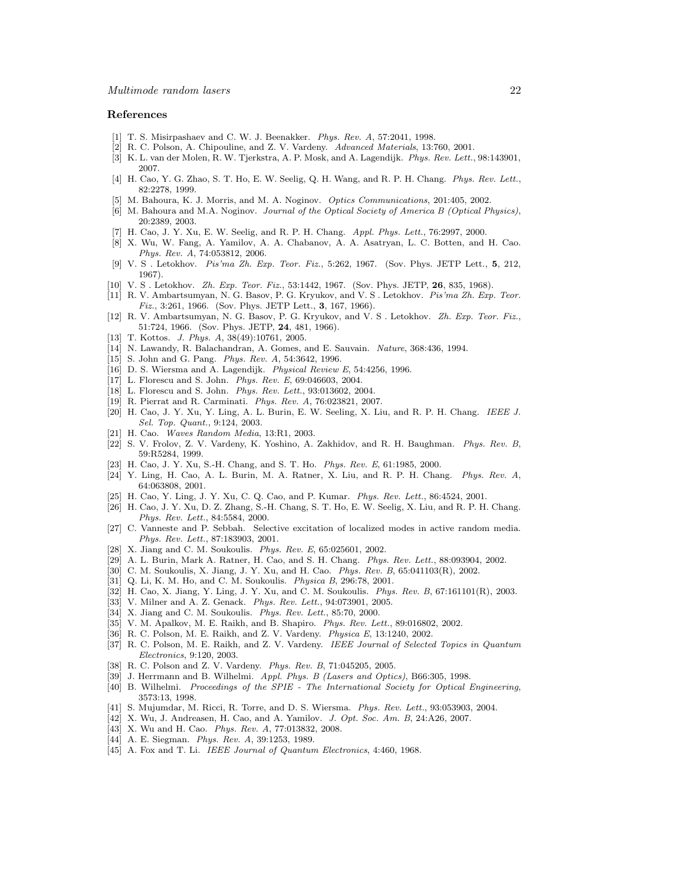#### References

- [1] T. S. Misirpashaev and C. W. J. Beenakker. *Phys. Rev. A*, 57:2041, 1998.
- [2] R. C. Polson, A. Chipouline, and Z. V. Vardeny. *Advanced Materials*, 13:760, 2001.
- [3] K. L. van der Molen, R. W. Tjerkstra, A. P. Mosk, and A. Lagendijk. *Phys. Rev. Lett.*, 98:143901, 2007.
- [4] H. Cao, Y. G. Zhao, S. T. Ho, E. W. Seelig, Q. H. Wang, and R. P. H. Chang. *Phys. Rev. Lett.*, 82:2278, 1999.
- [5] M. Bahoura, K. J. Morris, and M. A. Noginov. *Optics Communications*, 201:405, 2002.
- [6] M. Bahoura and M.A. Noginov. *Journal of the Optical Society of America B (Optical Physics)*, 20:2389, 2003.
- [7] H. Cao, J. Y. Xu, E. W. Seelig, and R. P. H. Chang. *Appl. Phys. Lett.*, 76:2997, 2000.
- [8] X. Wu, W. Fang, A. Yamilov, A. A. Chabanov, A. A. Asatryan, L. C. Botten, and H. Cao. *Phys. Rev. A*, 74:053812, 2006.
- [9] V. S . Letokhov. *Pis'ma Zh. Exp. Teor. Fiz.*, 5:262, 1967. (Sov. Phys. JETP Lett., 5, 212, 1967).
- [10] V. S . Letokhov. *Zh. Exp. Teor. Fiz.*, 53:1442, 1967. (Sov. Phys. JETP, 26, 835, 1968).
- [11] R. V. Ambartsumyan, N. G. Basov, P. G. Kryukov, and V. S . Letokhov. *Pis'ma Zh. Exp. Teor. Fiz.*, 3:261, 1966. (Sov. Phys. JETP Lett., 3, 167, 1966).
- [12] R. V. Ambartsumyan, N. G. Basov, P. G. Kryukov, and V. S . Letokhov. *Zh. Exp. Teor. Fiz.*, 51:724, 1966. (Sov. Phys. JETP, 24, 481, 1966).
- [13] T. Kottos. *J. Phys. A*, 38(49):10761, 2005.
- [14] N. Lawandy, R. Balachandran, A. Gomes, and E. Sauvain. *Nature*, 368:436, 1994.
- [15] S. John and G. Pang. *Phys. Rev. A*, 54:3642, 1996.
- [16] D. S. Wiersma and A. Lagendijk. *Physical Review E*, 54:4256, 1996.
- [17] L. Florescu and S. John. *Phys. Rev. E*, 69:046603, 2004.
- [18] L. Florescu and S. John. *Phys. Rev. Lett.*, 93:013602, 2004.
- [19] R. Pierrat and R. Carminati. *Phys. Rev. A*, 76:023821, 2007.
- [20] H. Cao, J. Y. Xu, Y. Ling, A. L. Burin, E. W. Seeling, X. Liu, and R. P. H. Chang. *IEEE J. Sel. Top. Quant.*, 9:124, 2003.
- [21] H. Cao. *Waves Random Media*, 13:R1, 2003.
- [22] S. V. Frolov, Z. V. Vardeny, K. Yoshino, A. Zakhidov, and R. H. Baughman. *Phys. Rev. B*, 59:R5284, 1999.
- [23] H. Cao, J. Y. Xu, S.-H. Chang, and S. T. Ho. *Phys. Rev. E*, 61:1985, 2000.
- [24] Y. Ling, H. Cao, A. L. Burin, M. A. Ratner, X. Liu, and R. P. H. Chang. *Phys. Rev. A*, 64:063808, 2001.
- [25] H. Cao, Y. Ling, J. Y. Xu, C. Q. Cao, and P. Kumar. *Phys. Rev. Lett.*, 86:4524, 2001.
- [26] H. Cao, J. Y. Xu, D. Z. Zhang, S.-H. Chang, S. T. Ho, E. W. Seelig, X. Liu, and R. P. H. Chang. *Phys. Rev. Lett.*, 84:5584, 2000.
- [27] C. Vanneste and P. Sebbah. Selective excitation of localized modes in active random media. *Phys. Rev. Lett.*, 87:183903, 2001.
- [28] X. Jiang and C. M. Soukoulis. *Phys. Rev. E*, 65:025601, 2002.
- [29] A. L. Burin, Mark A. Ratner, H. Cao, and S. H. Chang. *Phys. Rev. Lett.*, 88:093904, 2002.
- [30] C. M. Soukoulis, X. Jiang, J. Y. Xu, and H. Cao. *Phys. Rev. B*, 65:041103(R), 2002.
- [31] Q. Li, K. M. Ho, and C. M. Soukoulis. *Physica B*, 296:78, 2001.
- [32] H. Cao, X. Jiang, Y. Ling, J. Y. Xu, and C. M. Soukoulis. *Phys. Rev. B*, 67:161101(R), 2003.
- [33] V. Milner and A. Z. Genack. *Phys. Rev. Lett.*, 94:073901, 2005.
- [34] X. Jiang and C. M. Soukoulis. *Phys. Rev. Lett.*, 85:70, 2000.
- [35] V. M. Apalkov, M. E. Raikh, and B. Shapiro. *Phys. Rev. Lett.*, 89:016802, 2002.
- [36] R. C. Polson, M. E. Raikh, and Z. V. Vardeny. *Physica E*, 13:1240, 2002.
- [37] R. C. Polson, M. E. Raikh, and Z. V. Vardeny. *IEEE Journal of Selected Topics in Quantum Electronics*, 9:120, 2003.
- [38] R. C. Polson and Z. V. Vardeny. *Phys. Rev. B*, 71:045205, 2005.
- [39] J. Herrmann and B. Wilhelmi. *Appl. Phys. B (Lasers and Optics)*, B66:305, 1998.
- [40] B. Wilhelmi. *Proceedings of the SPIE The International Society for Optical Engineering*, 3573:13, 1998.
- [41] S. Mujumdar, M. Ricci, R. Torre, and D. S. Wiersma. *Phys. Rev. Lett.*, 93:053903, 2004.
- [42] X. Wu, J. Andreasen, H. Cao, and A. Yamilov. *J. Opt. Soc. Am. B*, 24:A26, 2007.
- [43] X. Wu and H. Cao. *Phys. Rev. A*, 77:013832, 2008.
- [44] A. E. Siegman. *Phys. Rev. A*, 39:1253, 1989.
- [45] A. Fox and T. Li. *IEEE Journal of Quantum Electronics*, 4:460, 1968.